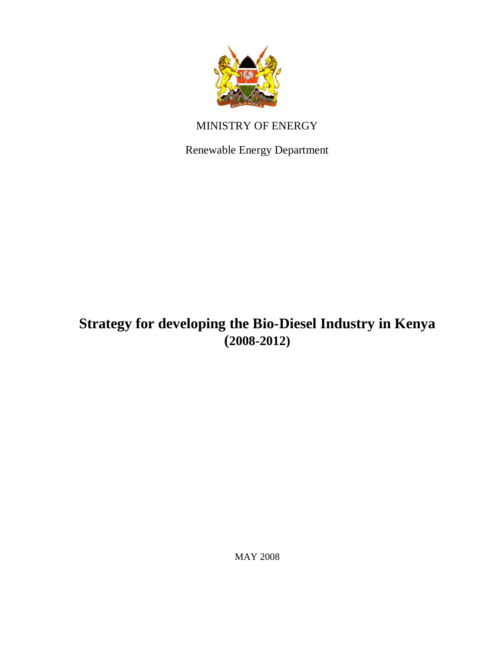

## MINISTRY OF ENERGY

Renewable Energy Department

## **Strategy for developing the Bio-Diesel Industry in Kenya (2008-2012)**

MAY 2008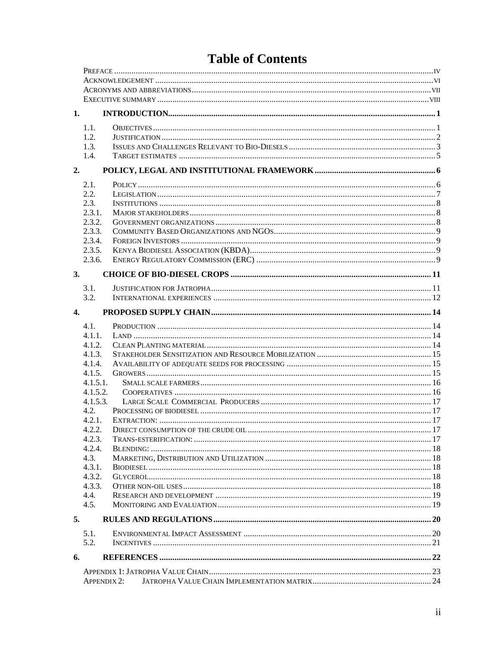|              | 1.                 |  |  |  |
|--------------|--------------------|--|--|--|
|              | 1.1.               |  |  |  |
|              | 1.2.               |  |  |  |
|              | 1.3.               |  |  |  |
|              | 1.4.               |  |  |  |
|              |                    |  |  |  |
| 2.           |                    |  |  |  |
|              | 2.1.               |  |  |  |
|              | 2.2.               |  |  |  |
|              | 2.3.               |  |  |  |
|              | 2.3.1.             |  |  |  |
|              | 2.3.2.             |  |  |  |
|              | 2.3.3.             |  |  |  |
|              | 2.3.4.             |  |  |  |
|              | 2.3.5.             |  |  |  |
|              | 2.3.6.             |  |  |  |
| 3.           |                    |  |  |  |
|              |                    |  |  |  |
|              | 3.1.               |  |  |  |
|              | 3.2.               |  |  |  |
| $\mathbf{4}$ |                    |  |  |  |
|              | 4.1.               |  |  |  |
|              | 4.1.1.             |  |  |  |
|              | 4.1.2.             |  |  |  |
|              | 4.1.3.             |  |  |  |
|              | 4.1.4.             |  |  |  |
|              | 4.1.5.             |  |  |  |
|              | 4.1.5.1.           |  |  |  |
|              | 4.1.5.2.           |  |  |  |
|              | 4.1.5.3.           |  |  |  |
|              | 4.2.               |  |  |  |
|              | 4.2.1.             |  |  |  |
|              | 4.2.2.             |  |  |  |
|              | 4.2.3.             |  |  |  |
|              | 4.2.4.             |  |  |  |
|              | 4.3.               |  |  |  |
|              | 4.3.1.             |  |  |  |
|              | 4.3.2.             |  |  |  |
|              | 4.3.3.             |  |  |  |
|              | 4.4.               |  |  |  |
|              | 4.5.               |  |  |  |
| 5.           |                    |  |  |  |
|              | 5.1.               |  |  |  |
|              | 5.2.               |  |  |  |
|              |                    |  |  |  |
| 6.           |                    |  |  |  |
|              |                    |  |  |  |
|              | <b>APPENDIX 2:</b> |  |  |  |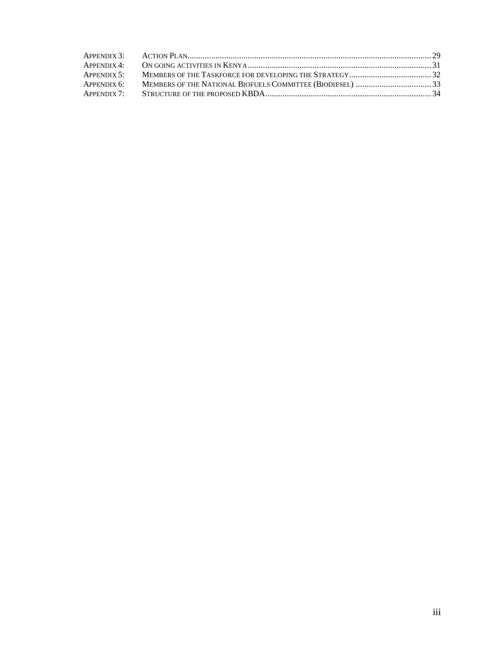| APPENDIX 6: MEMBERS OF THE NATIONAL BIOFUELS COMMITTEE (BIODIESEL)  33 |  |
|------------------------------------------------------------------------|--|
|                                                                        |  |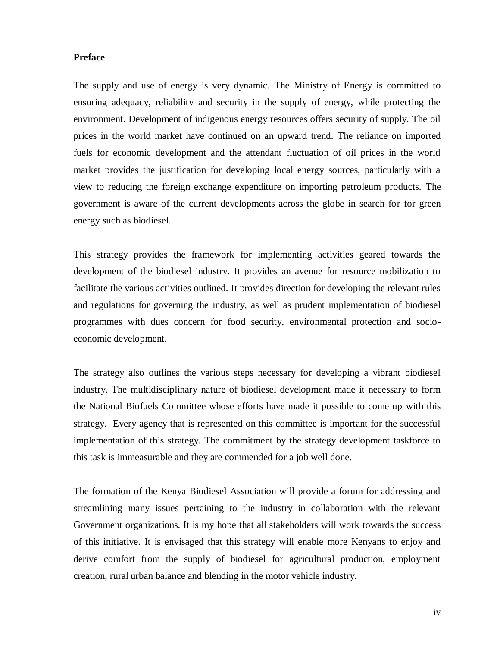#### <span id="page-3-0"></span>**Preface**

The supply and use of energy is very dynamic. The Ministry of Energy is committed to ensuring adequacy, reliability and security in the supply of energy, while protecting the environment. Development of indigenous energy resources offers security of supply. The oil prices in the world market have continued on an upward trend. The reliance on imported fuels for economic development and the attendant fluctuation of oil prices in the world market provides the justification for developing local energy sources, particularly with a view to reducing the foreign exchange expenditure on importing petroleum products. The government is aware of the current developments across the globe in search for for green energy such as biodiesel.

This strategy provides the framework for implementing activities geared towards the development of the biodiesel industry. It provides an avenue for resource mobilization to facilitate the various activities outlined. It provides direction for developing the relevant rules and regulations for governing the industry, as well as prudent implementation of biodiesel programmes with dues concern for food security, environmental protection and socioeconomic development.

The strategy also outlines the various steps necessary for developing a vibrant biodiesel industry. The multidisciplinary nature of biodiesel development made it necessary to form the National Biofuels Committee whose efforts have made it possible to come up with this strategy. Every agency that is represented on this committee is important for the successful implementation of this strategy. The commitment by the strategy development taskforce to this task is immeasurable and they are commended for a job well done.

The formation of the Kenya Biodiesel Association will provide a forum for addressing and streamlining many issues pertaining to the industry in collaboration with the relevant Government organizations. It is my hope that all stakeholders will work towards the success of this initiative. It is envisaged that this strategy will enable more Kenyans to enjoy and derive comfort from the supply of biodiesel for agricultural production, employment creation, rural urban balance and blending in the motor vehicle industry.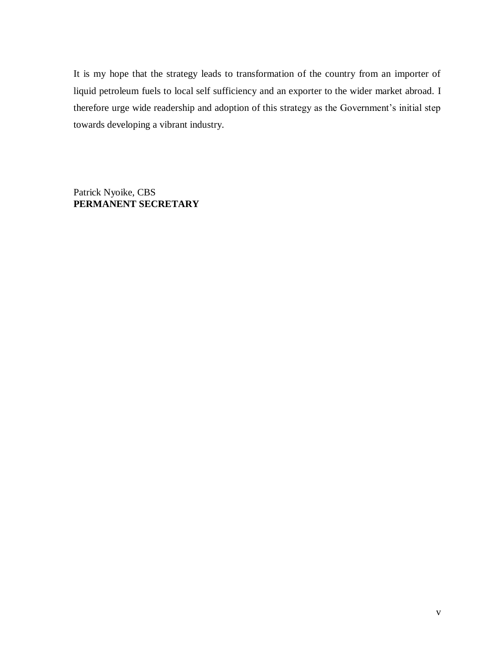It is my hope that the strategy leads to transformation of the country from an importer of liquid petroleum fuels to local self sufficiency and an exporter to the wider market abroad. I therefore urge wide readership and adoption of this strategy as the Government's initial step towards developing a vibrant industry.

Patrick Nyoike, CBS **PERMANENT SECRETARY**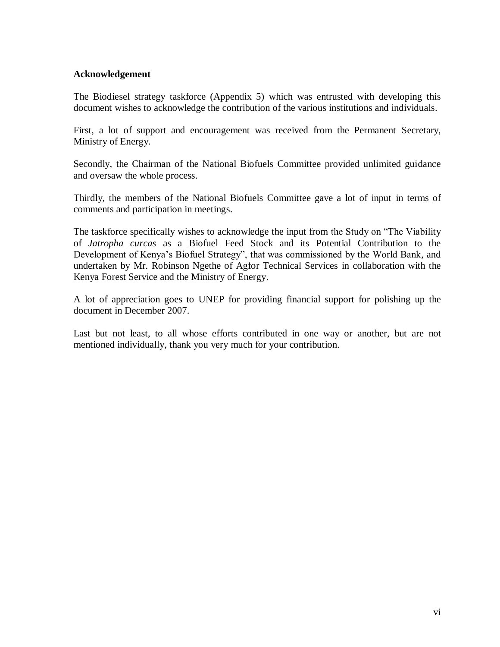#### <span id="page-5-0"></span>**Acknowledgement**

The Biodiesel strategy taskforce (Appendix 5) which was entrusted with developing this document wishes to acknowledge the contribution of the various institutions and individuals.

First, a lot of support and encouragement was received from the Permanent Secretary, Ministry of Energy.

Secondly, the Chairman of the National Biofuels Committee provided unlimited guidance and oversaw the whole process.

Thirdly, the members of the National Biofuels Committee gave a lot of input in terms of comments and participation in meetings.

The taskforce specifically wishes to acknowledge the input from the Study on "The Viability of *Jatropha curcas* as a Biofuel Feed Stock and its Potential Contribution to the Development of Kenya's Biofuel Strategy", that was commissioned by the World Bank, and undertaken by Mr. Robinson Ngethe of Agfor Technical Services in collaboration with the Kenya Forest Service and the Ministry of Energy.

A lot of appreciation goes to UNEP for providing financial support for polishing up the document in December 2007.

Last but not least, to all whose efforts contributed in one way or another, but are not mentioned individually, thank you very much for your contribution.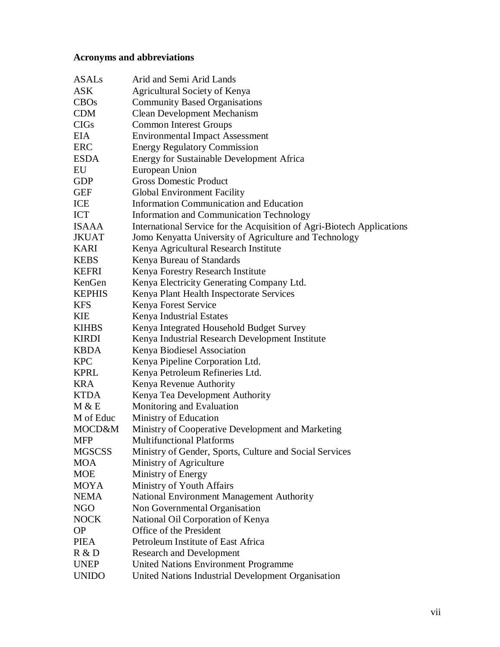#### <span id="page-6-0"></span>**Acronyms and abbreviations**

| <b>ASALs</b>  | Arid and Semi Arid Lands                                               |
|---------------|------------------------------------------------------------------------|
| <b>ASK</b>    | <b>Agricultural Society of Kenya</b>                                   |
| CBOs          | <b>Community Based Organisations</b>                                   |
| <b>CDM</b>    | <b>Clean Development Mechanism</b>                                     |
| <b>CIGs</b>   | <b>Common Interest Groups</b>                                          |
| EIA           | <b>Environmental Impact Assessment</b>                                 |
| <b>ERC</b>    | <b>Energy Regulatory Commission</b>                                    |
| <b>ESDA</b>   | Energy for Sustainable Development Africa                              |
| EU            | European Union                                                         |
| <b>GDP</b>    | <b>Gross Domestic Product</b>                                          |
| <b>GEF</b>    | <b>Global Environment Facility</b>                                     |
| ICE           | <b>Information Communication and Education</b>                         |
| <b>ICT</b>    | Information and Communication Technology                               |
| <b>ISAAA</b>  | International Service for the Acquisition of Agri-Biotech Applications |
| <b>JKUAT</b>  | Jomo Kenyatta University of Agriculture and Technology                 |
| <b>KARI</b>   | Kenya Agricultural Research Institute                                  |
| <b>KEBS</b>   | Kenya Bureau of Standards                                              |
| <b>KEFRI</b>  | Kenya Forestry Research Institute                                      |
| KenGen        | Kenya Electricity Generating Company Ltd.                              |
| <b>KEPHIS</b> | Kenya Plant Health Inspectorate Services                               |
| <b>KFS</b>    | Kenya Forest Service                                                   |
| <b>KIE</b>    | Kenya Industrial Estates                                               |
| <b>KIHBS</b>  | Kenya Integrated Household Budget Survey                               |
| <b>KIRDI</b>  | Kenya Industrial Research Development Institute                        |
| <b>KBDA</b>   | Kenya Biodiesel Association                                            |
| <b>KPC</b>    | Kenya Pipeline Corporation Ltd.                                        |
| <b>KPRL</b>   | Kenya Petroleum Refineries Ltd.                                        |
| <b>KRA</b>    | Kenya Revenue Authority                                                |
| <b>KTDA</b>   | Kenya Tea Development Authority                                        |
| M & E         | Monitoring and Evaluation                                              |
| M of Educ     | Ministry of Education                                                  |
| MOCD&M        | Ministry of Cooperative Development and Marketing                      |
| <b>MFP</b>    | <b>Multifunctional Platforms</b>                                       |
| <b>MGSCSS</b> | Ministry of Gender, Sports, Culture and Social Services                |
| <b>MOA</b>    | Ministry of Agriculture                                                |
| <b>MOE</b>    | Ministry of Energy                                                     |
| <b>MOYA</b>   | Ministry of Youth Affairs                                              |
| <b>NEMA</b>   | National Environment Management Authority                              |
| <b>NGO</b>    | Non Governmental Organisation                                          |
| <b>NOCK</b>   | National Oil Corporation of Kenya                                      |
| <b>OP</b>     | Office of the President                                                |
| <b>PIEA</b>   | Petroleum Institute of East Africa                                     |
| R & D         | <b>Research and Development</b>                                        |
| <b>UNEP</b>   | <b>United Nations Environment Programme</b>                            |
| <b>UNIDO</b>  | United Nations Industrial Development Organisation                     |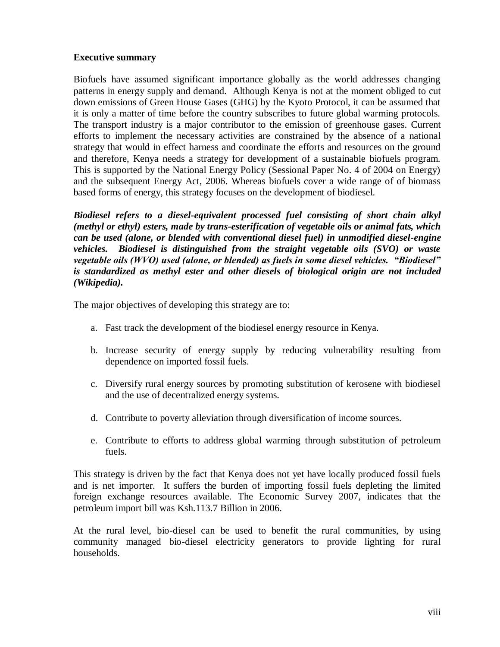#### <span id="page-7-0"></span>**Executive summary**

Biofuels have assumed significant importance globally as the world addresses changing patterns in energy supply and demand. Although Kenya is not at the moment obliged to cut down emissions of Green House Gases (GHG) by the Kyoto Protocol, it can be assumed that it is only a matter of time before the country subscribes to future global warming protocols. The transport industry is a major contributor to the emission of greenhouse gases. Current efforts to implement the necessary activities are constrained by the absence of a national strategy that would in effect harness and coordinate the efforts and resources on the ground and therefore, Kenya needs a strategy for development of a sustainable biofuels program. This is supported by the National Energy Policy (Sessional Paper No. 4 of 2004 on Energy) and the subsequent Energy Act, 2006. Whereas biofuels cover a wide range of of biomass based forms of energy, this strategy focuses on the development of biodiesel.

*Biodiesel refers to a diesel-equivalent processed fuel consisting of short chain alkyl (methyl or ethyl) esters, made by trans-esterification of vegetable oils or animal fats, which can be used (alone, or blended with conventional diesel fuel) in unmodified diesel-engine vehicles. Biodiesel is distinguished from the straight vegetable oils (SVO) or waste vegetable oils (WVO) used (alone, or blended) as fuels in some diesel vehicles. "Biodiesel" is standardized as methyl ester and other diesels of biological origin are not included (Wikipedia).*

The major objectives of developing this strategy are to:

- a. Fast track the development of the biodiesel energy resource in Kenya.
- b. Increase security of energy supply by reducing vulnerability resulting from dependence on imported fossil fuels.
- c. Diversify rural energy sources by promoting substitution of kerosene with biodiesel and the use of decentralized energy systems.
- d. Contribute to poverty alleviation through diversification of income sources.
- e. Contribute to efforts to address global warming through substitution of petroleum fuels.

This strategy is driven by the fact that Kenya does not yet have locally produced fossil fuels and is net importer. It suffers the burden of importing fossil fuels depleting the limited foreign exchange resources available. The Economic Survey 2007, indicates that the petroleum import bill was Ksh.113.7 Billion in 2006.

At the rural level, bio-diesel can be used to benefit the rural communities, by using community managed bio-diesel electricity generators to provide lighting for rural households.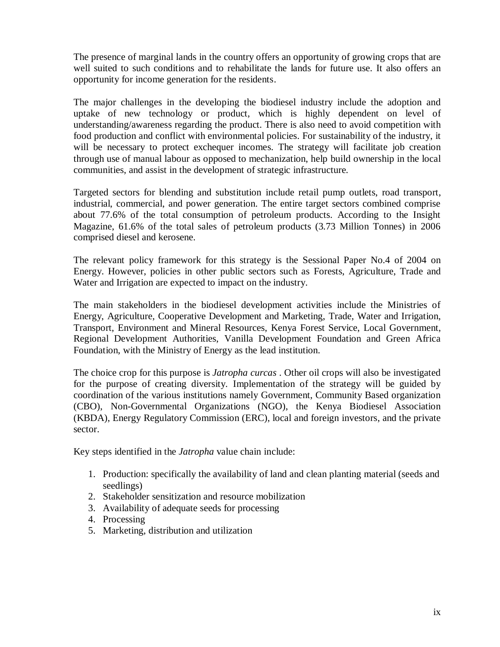The presence of marginal lands in the country offers an opportunity of growing crops that are well suited to such conditions and to rehabilitate the lands for future use. It also offers an opportunity for income generation for the residents.

The major challenges in the developing the biodiesel industry include the adoption and uptake of new technology or product, which is highly dependent on level of understanding/awareness regarding the product. There is also need to avoid competition with food production and conflict with environmental policies. For sustainability of the industry, it will be necessary to protect exchequer incomes. The strategy will facilitate job creation through use of manual labour as opposed to mechanization, help build ownership in the local communities, and assist in the development of strategic infrastructure.

Targeted sectors for blending and substitution include retail pump outlets, road transport, industrial, commercial, and power generation. The entire target sectors combined comprise about 77.6% of the total consumption of petroleum products. According to the Insight Magazine, 61.6% of the total sales of petroleum products (3.73 Million Tonnes) in 2006 comprised diesel and kerosene.

The relevant policy framework for this strategy is the Sessional Paper No.4 of 2004 on Energy. However, policies in other public sectors such as Forests, Agriculture, Trade and Water and Irrigation are expected to impact on the industry.

The main stakeholders in the biodiesel development activities include the Ministries of Energy, Agriculture, Cooperative Development and Marketing, Trade, Water and Irrigation, Transport, Environment and Mineral Resources, Kenya Forest Service, Local Government, Regional Development Authorities, Vanilla Development Foundation and Green Africa Foundation, with the Ministry of Energy as the lead institution.

The choice crop for this purpose is *Jatropha curcas* . Other oil crops will also be investigated for the purpose of creating diversity. Implementation of the strategy will be guided by coordination of the various institutions namely Government, Community Based organization (CBO), Non-Governmental Organizations (NGO), the Kenya Biodiesel Association (KBDA), Energy Regulatory Commission (ERC), local and foreign investors, and the private sector.

Key steps identified in the *Jatropha* value chain include:

- 1. Production: specifically the availability of land and clean planting material (seeds and seedlings)
- 2. Stakeholder sensitization and resource mobilization
- 3. Availability of adequate seeds for processing
- 4. Processing
- 5. Marketing, distribution and utilization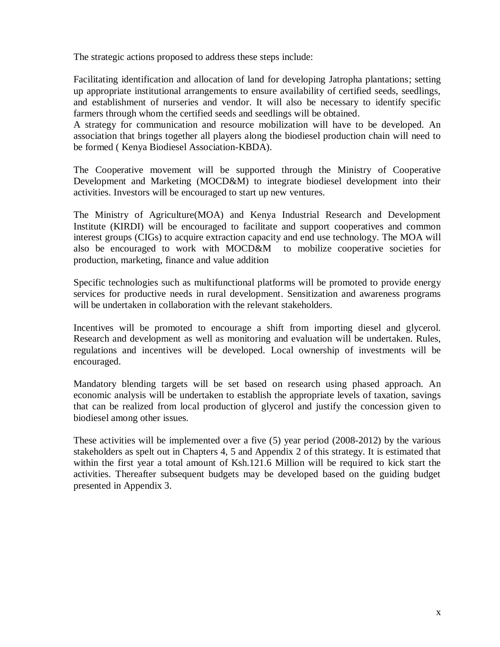The strategic actions proposed to address these steps include:

Facilitating identification and allocation of land for developing Jatropha plantations; setting up appropriate institutional arrangements to ensure availability of certified seeds, seedlings, and establishment of nurseries and vendor. It will also be necessary to identify specific farmers through whom the certified seeds and seedlings will be obtained.

A strategy for communication and resource mobilization will have to be developed. An association that brings together all players along the biodiesel production chain will need to be formed ( Kenya Biodiesel Association-KBDA).

The Cooperative movement will be supported through the Ministry of Cooperative Development and Marketing (MOCD&M) to integrate biodiesel development into their activities. Investors will be encouraged to start up new ventures.

The Ministry of Agriculture(MOA) and Kenya Industrial Research and Development Institute (KIRDI) will be encouraged to facilitate and support cooperatives and common interest groups (CIGs) to acquire extraction capacity and end use technology. The MOA will also be encouraged to work with MOCD&M to mobilize cooperative societies for production, marketing, finance and value addition

Specific technologies such as multifunctional platforms will be promoted to provide energy services for productive needs in rural development. Sensitization and awareness programs will be undertaken in collaboration with the relevant stakeholders.

Incentives will be promoted to encourage a shift from importing diesel and glycerol. Research and development as well as monitoring and evaluation will be undertaken. Rules, regulations and incentives will be developed. Local ownership of investments will be encouraged.

Mandatory blending targets will be set based on research using phased approach. An economic analysis will be undertaken to establish the appropriate levels of taxation, savings that can be realized from local production of glycerol and justify the concession given to biodiesel among other issues.

These activities will be implemented over a five (5) year period (2008-2012) by the various stakeholders as spelt out in Chapters 4, 5 and Appendix 2 of this strategy. It is estimated that within the first year a total amount of Ksh.121.6 Million will be required to kick start the activities. Thereafter subsequent budgets may be developed based on the guiding budget presented in Appendix 3.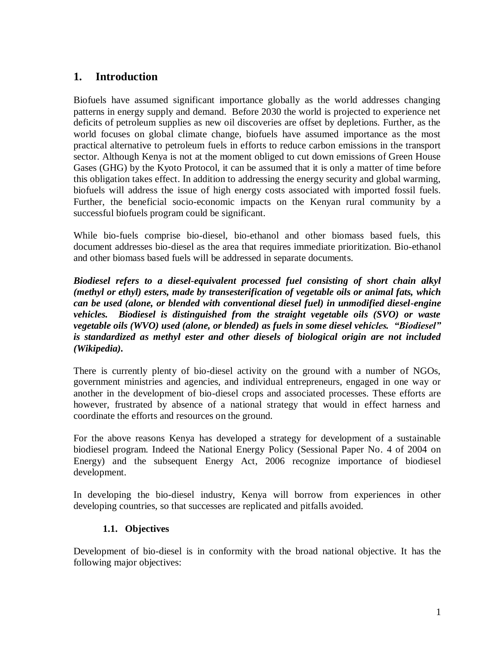## <span id="page-10-0"></span>**1. Introduction**

Biofuels have assumed significant importance globally as the world addresses changing patterns in energy supply and demand. Before 2030 the world is projected to experience net deficits of petroleum supplies as new oil discoveries are offset by depletions. Further, as the world focuses on global climate change, biofuels have assumed importance as the most practical alternative to petroleum fuels in efforts to reduce carbon emissions in the transport sector. Although Kenya is not at the moment obliged to cut down emissions of Green House Gases (GHG) by the Kyoto Protocol, it can be assumed that it is only a matter of time before this obligation takes effect. In addition to addressing the energy security and global warming, biofuels will address the issue of high energy costs associated with imported fossil fuels. Further, the beneficial socio-economic impacts on the Kenyan rural community by a successful biofuels program could be significant.

While bio-fuels comprise bio-diesel, bio-ethanol and other biomass based fuels, this document addresses bio-diesel as the area that requires immediate prioritization. Bio-ethanol and other biomass based fuels will be addressed in separate documents.

*Biodiesel refers to a diesel-equivalent processed fuel consisting of short chain alkyl (methyl or ethyl) esters, made by transesterification of vegetable oils or animal fats, which can be used (alone, or blended with conventional diesel fuel) in unmodified diesel-engine vehicles. Biodiesel is distinguished from the straight vegetable oils (SVO) or waste vegetable oils (WVO) used (alone, or blended) as fuels in some diesel vehicles. "Biodiesel" is standardized as methyl ester and other diesels of biological origin are not included (Wikipedia).*

There is currently plenty of bio-diesel activity on the ground with a number of NGOs, government ministries and agencies, and individual entrepreneurs, engaged in one way or another in the development of bio-diesel crops and associated processes. These efforts are however, frustrated by absence of a national strategy that would in effect harness and coordinate the efforts and resources on the ground.

For the above reasons Kenya has developed a strategy for development of a sustainable biodiesel program. Indeed the National Energy Policy (Sessional Paper No. 4 of 2004 on Energy) and the subsequent Energy Act, 2006 recognize importance of biodiesel development.

In developing the bio-diesel industry, Kenya will borrow from experiences in other developing countries, so that successes are replicated and pitfalls avoided.

#### **1.1. Objectives**

<span id="page-10-1"></span>Development of bio-diesel is in conformity with the broad national objective. It has the following major objectives: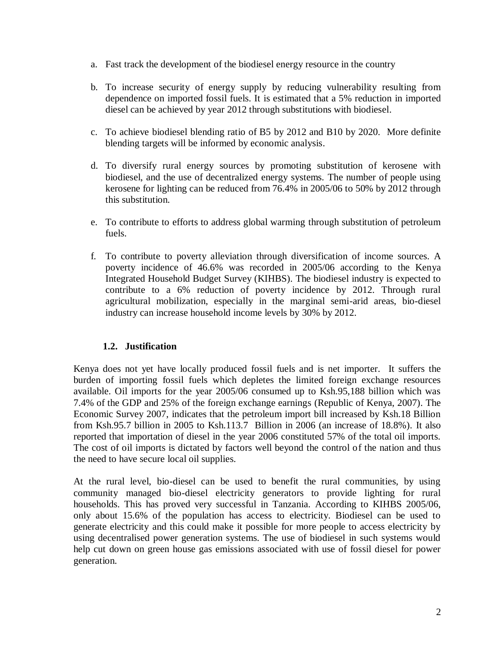- a. Fast track the development of the biodiesel energy resource in the country
- b. To increase security of energy supply by reducing vulnerability resulting from dependence on imported fossil fuels. It is estimated that a 5% reduction in imported diesel can be achieved by year 2012 through substitutions with biodiesel.
- c. To achieve biodiesel blending ratio of B5 by 2012 and B10 by 2020. More definite blending targets will be informed by economic analysis.
- d. To diversify rural energy sources by promoting substitution of kerosene with biodiesel, and the use of decentralized energy systems. The number of people using kerosene for lighting can be reduced from 76.4% in 2005/06 to 50% by 2012 through this substitution.
- e. To contribute to efforts to address global warming through substitution of petroleum fuels.
- f. To contribute to poverty alleviation through diversification of income sources. A poverty incidence of 46.6% was recorded in 2005/06 according to the Kenya Integrated Household Budget Survey (KIHBS). The biodiesel industry is expected to contribute to a 6% reduction of poverty incidence by 2012. Through rural agricultural mobilization, especially in the marginal semi-arid areas, bio-diesel industry can increase household income levels by 30% by 2012.

#### **1.2. Justification**

<span id="page-11-0"></span>Kenya does not yet have locally produced fossil fuels and is net importer. It suffers the burden of importing fossil fuels which depletes the limited foreign exchange resources available. Oil imports for the year 2005/06 consumed up to Ksh.95,188 billion which was 7.4% of the GDP and 25% of the foreign exchange earnings (Republic of Kenya, 2007). The Economic Survey 2007, indicates that the petroleum import bill increased by Ksh.18 Billion from Ksh.95.7 billion in 2005 to Ksh.113.7 Billion in 2006 (an increase of 18.8%). It also reported that importation of diesel in the year 2006 constituted 57% of the total oil imports. The cost of oil imports is dictated by factors well beyond the control of the nation and thus the need to have secure local oil supplies.

At the rural level, bio-diesel can be used to benefit the rural communities, by using community managed bio-diesel electricity generators to provide lighting for rural households. This has proved very successful in Tanzania. According to KIHBS 2005/06, only about 15.6% of the population has access to electricity. Biodiesel can be used to generate electricity and this could make it possible for more people to access electricity by using decentralised power generation systems. The use of biodiesel in such systems would help cut down on green house gas emissions associated with use of fossil diesel for power generation.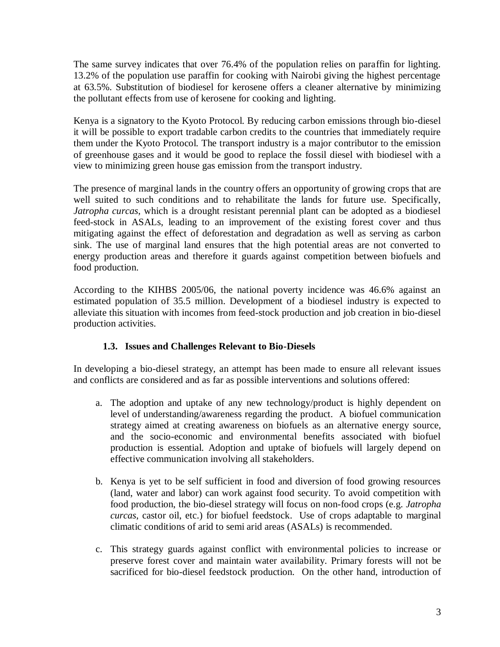The same survey indicates that over 76.4% of the population relies on paraffin for lighting. 13.2% of the population use paraffin for cooking with Nairobi giving the highest percentage at 63.5%. Substitution of biodiesel for kerosene offers a cleaner alternative by minimizing the pollutant effects from use of kerosene for cooking and lighting.

Kenya is a signatory to the Kyoto Protocol. By reducing carbon emissions through bio-diesel it will be possible to export tradable carbon credits to the countries that immediately require them under the Kyoto Protocol. The transport industry is a major contributor to the emission of greenhouse gases and it would be good to replace the fossil diesel with biodiesel with a view to minimizing green house gas emission from the transport industry.

The presence of marginal lands in the country offers an opportunity of growing crops that are well suited to such conditions and to rehabilitate the lands for future use. Specifically, *Jatropha curcas*, which is a drought resistant perennial plant can be adopted as a biodiesel feed-stock in ASALs, leading to an improvement of the existing forest cover and thus mitigating against the effect of deforestation and degradation as well as serving as carbon sink. The use of marginal land ensures that the high potential areas are not converted to energy production areas and therefore it guards against competition between biofuels and food production.

According to the KIHBS 2005/06, the national poverty incidence was 46.6% against an estimated population of 35.5 million. Development of a biodiesel industry is expected to alleviate this situation with incomes from feed-stock production and job creation in bio-diesel production activities.

#### **1.3. Issues and Challenges Relevant to Bio-Diesels**

<span id="page-12-0"></span>In developing a bio-diesel strategy, an attempt has been made to ensure all relevant issues and conflicts are considered and as far as possible interventions and solutions offered:

- a. The adoption and uptake of any new technology/product is highly dependent on level of understanding/awareness regarding the product. A biofuel communication strategy aimed at creating awareness on biofuels as an alternative energy source, and the socio-economic and environmental benefits associated with biofuel production is essential. Adoption and uptake of biofuels will largely depend on effective communication involving all stakeholders.
- b. Kenya is yet to be self sufficient in food and diversion of food growing resources (land, water and labor) can work against food security. To avoid competition with food production, the bio-diesel strategy will focus on non-food crops (e.g. *Jatropha curcas*, castor oil, etc.) for biofuel feedstock. Use of crops adaptable to marginal climatic conditions of arid to semi arid areas (ASALs) is recommended.
- c. This strategy guards against conflict with environmental policies to increase or preserve forest cover and maintain water availability. Primary forests will not be sacrificed for bio-diesel feedstock production. On the other hand, introduction of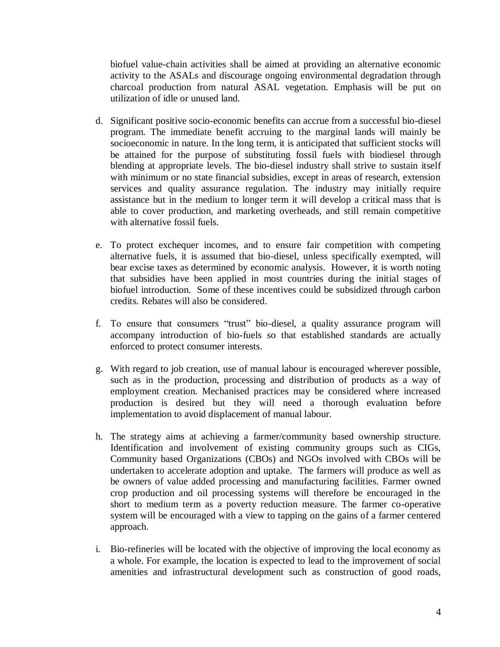biofuel value-chain activities shall be aimed at providing an alternative economic activity to the ASALs and discourage ongoing environmental degradation through charcoal production from natural ASAL vegetation. Emphasis will be put on utilization of idle or unused land.

- d. Significant positive socio-economic benefits can accrue from a successful bio-diesel program. The immediate benefit accruing to the marginal lands will mainly be socioeconomic in nature. In the long term, it is anticipated that sufficient stocks will be attained for the purpose of substituting fossil fuels with biodiesel through blending at appropriate levels. The bio-diesel industry shall strive to sustain itself with minimum or no state financial subsidies, except in areas of research, extension services and quality assurance regulation. The industry may initially require assistance but in the medium to longer term it will develop a critical mass that is able to cover production, and marketing overheads, and still remain competitive with alternative fossil fuels.
- e. To protect exchequer incomes, and to ensure fair competition with competing alternative fuels, it is assumed that bio-diesel, unless specifically exempted, will bear excise taxes as determined by economic analysis. However, it is worth noting that subsidies have been applied in most countries during the initial stages of biofuel introduction. Some of these incentives could be subsidized through carbon credits. Rebates will also be considered.
- f. To ensure that consumers "trust" bio-diesel, a quality assurance program will accompany introduction of bio-fuels so that established standards are actually enforced to protect consumer interests.
- g. With regard to job creation, use of manual labour is encouraged wherever possible, such as in the production, processing and distribution of products as a way of employment creation. Mechanised practices may be considered where increased production is desired but they will need a thorough evaluation before implementation to avoid displacement of manual labour.
- h. The strategy aims at achieving a farmer/community based ownership structure. Identification and involvement of existing community groups such as CIGs, Community based Organizations (CBOs) and NGOs involved with CBOs will be undertaken to accelerate adoption and uptake. The farmers will produce as well as be owners of value added processing and manufacturing facilities. Farmer owned crop production and oil processing systems will therefore be encouraged in the short to medium term as a poverty reduction measure. The farmer co-operative system will be encouraged with a view to tapping on the gains of a farmer centered approach.
- i. Bio-refineries will be located with the objective of improving the local economy as a whole. For example, the location is expected to lead to the improvement of social amenities and infrastructural development such as construction of good roads,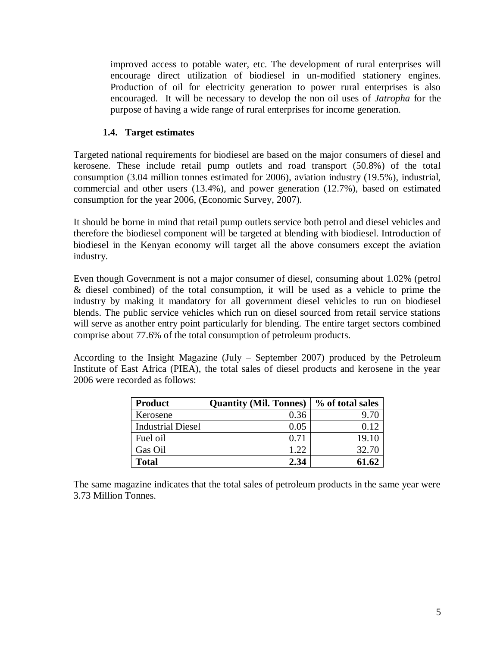improved access to potable water, etc. The development of rural enterprises will encourage direct utilization of biodiesel in un-modified stationery engines. Production of oil for electricity generation to power rural enterprises is also encouraged. It will be necessary to develop the non oil uses of *Jatropha* for the purpose of having a wide range of rural enterprises for income generation.

#### **1.4. Target estimates**

<span id="page-14-0"></span>Targeted national requirements for biodiesel are based on the major consumers of diesel and kerosene. These include retail pump outlets and road transport (50.8%) of the total consumption (3.04 million tonnes estimated for 2006), aviation industry (19.5%), industrial, commercial and other users (13.4%), and power generation (12.7%), based on estimated consumption for the year 2006, (Economic Survey, 2007).

It should be borne in mind that retail pump outlets service both petrol and diesel vehicles and therefore the biodiesel component will be targeted at blending with biodiesel. Introduction of biodiesel in the Kenyan economy will target all the above consumers except the aviation industry.

Even though Government is not a major consumer of diesel, consuming about 1.02% (petrol & diesel combined) of the total consumption, it will be used as a vehicle to prime the industry by making it mandatory for all government diesel vehicles to run on biodiesel blends. The public service vehicles which run on diesel sourced from retail service stations will serve as another entry point particularly for blending. The entire target sectors combined comprise about 77.6% of the total consumption of petroleum products.

According to the Insight Magazine (July – September 2007) produced by the Petroleum Institute of East Africa (PIEA), the total sales of diesel products and kerosene in the year 2006 were recorded as follows:

| <b>Product</b>           | <b>Quantity (Mil. Tonnes)</b> | % of total sales |  |
|--------------------------|-------------------------------|------------------|--|
| Kerosene                 | 0.36                          | 9.70             |  |
| <b>Industrial Diesel</b> | 0.05                          | 0.12             |  |
| Fuel oil                 | 0.71                          | 19.10            |  |
| Gas Oil                  | 1.22                          | 32.70            |  |
| <b>Total</b>             | 2.34                          | 61.62            |  |

The same magazine indicates that the total sales of petroleum products in the same year were 3.73 Million Tonnes.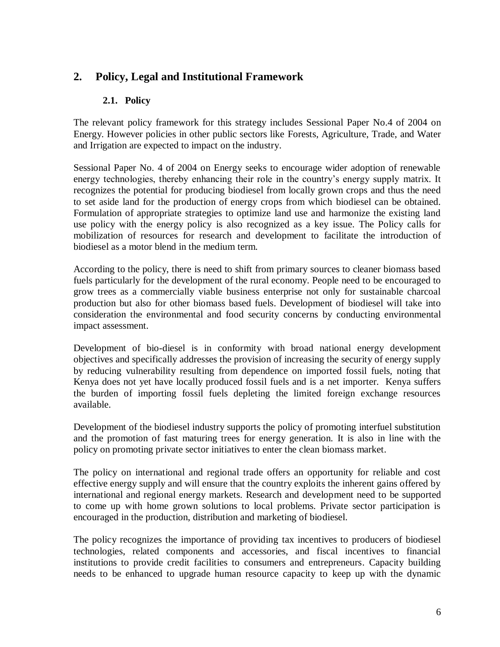## <span id="page-15-0"></span>**2. Policy, Legal and Institutional Framework**

#### **2.1. Policy**

<span id="page-15-1"></span>The relevant policy framework for this strategy includes Sessional Paper No.4 of 2004 on Energy. However policies in other public sectors like Forests, Agriculture, Trade, and Water and Irrigation are expected to impact on the industry.

Sessional Paper No. 4 of 2004 on Energy seeks to encourage wider adoption of renewable energy technologies, thereby enhancing their role in the country's energy supply matrix. It recognizes the potential for producing biodiesel from locally grown crops and thus the need to set aside land for the production of energy crops from which biodiesel can be obtained. Formulation of appropriate strategies to optimize land use and harmonize the existing land use policy with the energy policy is also recognized as a key issue. The Policy calls for mobilization of resources for research and development to facilitate the introduction of biodiesel as a motor blend in the medium term.

According to the policy, there is need to shift from primary sources to cleaner biomass based fuels particularly for the development of the rural economy. People need to be encouraged to grow trees as a commercially viable business enterprise not only for sustainable charcoal production but also for other biomass based fuels. Development of biodiesel will take into consideration the environmental and food security concerns by conducting environmental impact assessment.

Development of bio-diesel is in conformity with broad national energy development objectives and specifically addresses the provision of increasing the security of energy supply by reducing vulnerability resulting from dependence on imported fossil fuels, noting that Kenya does not yet have locally produced fossil fuels and is a net importer. Kenya suffers the burden of importing fossil fuels depleting the limited foreign exchange resources available.

Development of the biodiesel industry supports the policy of promoting interfuel substitution and the promotion of fast maturing trees for energy generation. It is also in line with the policy on promoting private sector initiatives to enter the clean biomass market.

The policy on international and regional trade offers an opportunity for reliable and cost effective energy supply and will ensure that the country exploits the inherent gains offered by international and regional energy markets. Research and development need to be supported to come up with home grown solutions to local problems. Private sector participation is encouraged in the production, distribution and marketing of biodiesel.

The policy recognizes the importance of providing tax incentives to producers of biodiesel technologies, related components and accessories, and fiscal incentives to financial institutions to provide credit facilities to consumers and entrepreneurs. Capacity building needs to be enhanced to upgrade human resource capacity to keep up with the dynamic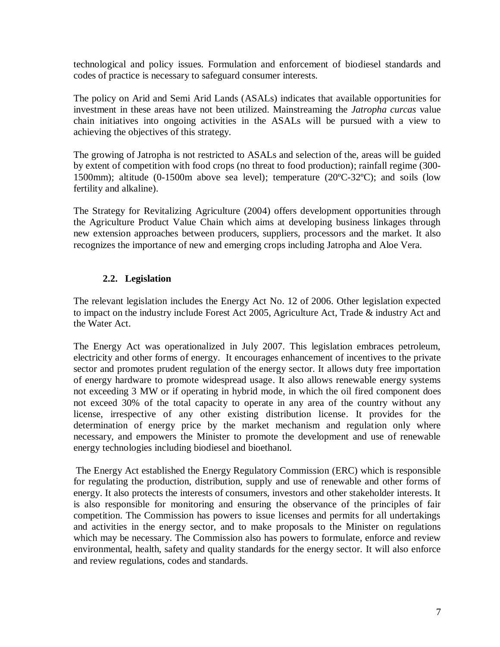technological and policy issues. Formulation and enforcement of biodiesel standards and codes of practice is necessary to safeguard consumer interests.

The policy on Arid and Semi Arid Lands (ASALs) indicates that available opportunities for investment in these areas have not been utilized. Mainstreaming the *Jatropha curcas* value chain initiatives into ongoing activities in the ASALs will be pursued with a view to achieving the objectives of this strategy.

The growing of Jatropha is not restricted to ASALs and selection of the, areas will be guided by extent of competition with food crops (no threat to food production); rainfall regime (300- 1500mm); altitude (0-1500m above sea level); temperature (20ºC-32ºC); and soils (low fertility and alkaline).

The Strategy for Revitalizing Agriculture (2004) offers development opportunities through the Agriculture Product Value Chain which aims at developing business linkages through new extension approaches between producers, suppliers, processors and the market. It also recognizes the importance of new and emerging crops including Jatropha and Aloe Vera.

#### **2.2. Legislation**

<span id="page-16-0"></span>The relevant legislation includes the Energy Act No. 12 of 2006. Other legislation expected to impact on the industry include Forest Act 2005, Agriculture Act, Trade & industry Act and the Water Act.

The Energy Act was operationalized in July 2007. This legislation embraces petroleum, electricity and other forms of energy. It encourages enhancement of incentives to the private sector and promotes prudent regulation of the energy sector. It allows duty free importation of energy hardware to promote widespread usage. It also allows renewable energy systems not exceeding 3 MW or if operating in hybrid mode, in which the oil fired component does not exceed 30% of the total capacity to operate in any area of the country without any license, irrespective of any other existing distribution license. It provides for the determination of energy price by the market mechanism and regulation only where necessary, and empowers the Minister to promote the development and use of renewable energy technologies including biodiesel and bioethanol.

The Energy Act established the Energy Regulatory Commission (ERC) which is responsible for regulating the production, distribution, supply and use of renewable and other forms of energy. It also protects the interests of consumers, investors and other stakeholder interests. It is also responsible for monitoring and ensuring the observance of the principles of fair competition. The Commission has powers to issue licenses and permits for all undertakings and activities in the energy sector, and to make proposals to the Minister on regulations which may be necessary. The Commission also has powers to formulate, enforce and review environmental, health, safety and quality standards for the energy sector. It will also enforce and review regulations, codes and standards.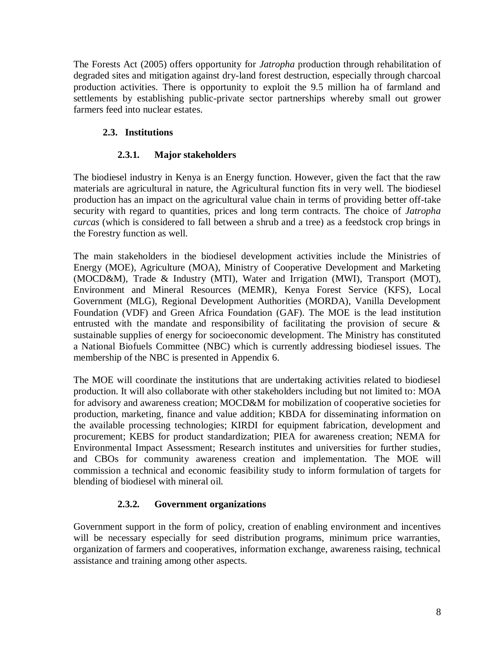The Forests Act (2005) offers opportunity for *Jatropha* production through rehabilitation of degraded sites and mitigation against dry-land forest destruction, especially through charcoal production activities. There is opportunity to exploit the 9.5 million ha of farmland and settlements by establishing public-private sector partnerships whereby small out grower farmers feed into nuclear estates.

#### <span id="page-17-0"></span>**2.3. Institutions**

#### **2.3.1. Major stakeholders**

<span id="page-17-1"></span>The biodiesel industry in Kenya is an Energy function. However, given the fact that the raw materials are agricultural in nature, the Agricultural function fits in very well. The biodiesel production has an impact on the agricultural value chain in terms of providing better off-take security with regard to quantities, prices and long term contracts. The choice of *Jatropha curcas* (which is considered to fall between a shrub and a tree) as a feedstock crop brings in the Forestry function as well.

The main stakeholders in the biodiesel development activities include the Ministries of Energy (MOE), Agriculture (MOA), Ministry of Cooperative Development and Marketing (MOCD&M), Trade & Industry (MTI), Water and Irrigation (MWI), Transport (MOT), Environment and Mineral Resources (MEMR), Kenya Forest Service (KFS), Local Government (MLG), Regional Development Authorities (MORDA), Vanilla Development Foundation (VDF) and Green Africa Foundation (GAF). The MOE is the lead institution entrusted with the mandate and responsibility of facilitating the provision of secure  $\&$ sustainable supplies of energy for socioeconomic development. The Ministry has constituted a National Biofuels Committee (NBC) which is currently addressing biodiesel issues. The membership of the NBC is presented in Appendix 6.

The MOE will coordinate the institutions that are undertaking activities related to biodiesel production. It will also collaborate with other stakeholders including but not limited to: MOA for advisory and awareness creation; MOCD&M for mobilization of cooperative societies for production, marketing, finance and value addition; KBDA for disseminating information on the available processing technologies; KIRDI for equipment fabrication, development and procurement; KEBS for product standardization; PIEA for awareness creation; NEMA for Environmental Impact Assessment; Research institutes and universities for further studies, and CBOs for community awareness creation and implementation. The MOE will commission a technical and economic feasibility study to inform formulation of targets for blending of biodiesel with mineral oil.

#### **2.3.2. Government organizations**

<span id="page-17-2"></span>Government support in the form of policy, creation of enabling environment and incentives will be necessary especially for seed distribution programs, minimum price warranties, organization of farmers and cooperatives, information exchange, awareness raising, technical assistance and training among other aspects.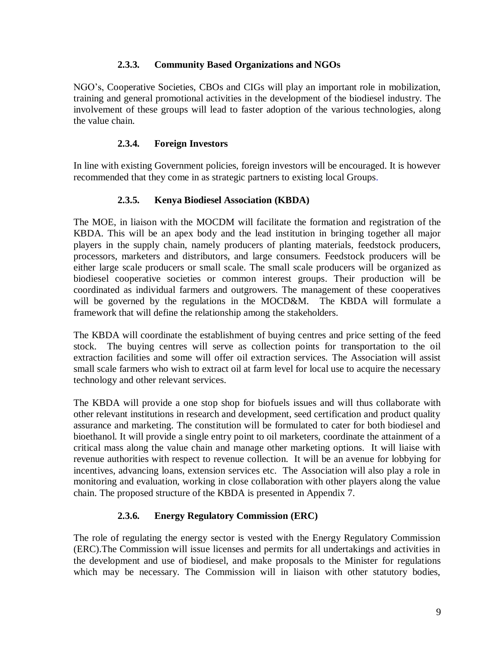#### **2.3.3. Community Based Organizations and NGOs**

<span id="page-18-0"></span>NGO's, Cooperative Societies, CBOs and CIGs will play an important role in mobilization, training and general promotional activities in the development of the biodiesel industry. The involvement of these groups will lead to faster adoption of the various technologies, along the value chain.

#### **2.3.4. Foreign Investors**

<span id="page-18-1"></span>In line with existing Government policies, foreign investors will be encouraged. It is however recommended that they come in as strategic partners to existing local Groups.

#### **2.3.5. Kenya Biodiesel Association (KBDA)**

<span id="page-18-2"></span>The MOE, in liaison with the MOCDM will facilitate the formation and registration of the KBDA. This will be an apex body and the lead institution in bringing together all major players in the supply chain, namely producers of planting materials, feedstock producers, processors, marketers and distributors, and large consumers. Feedstock producers will be either large scale producers or small scale. The small scale producers will be organized as biodiesel cooperative societies or common interest groups. Their production will be coordinated as individual farmers and outgrowers. The management of these cooperatives will be governed by the regulations in the MOCD&M. The KBDA will formulate a framework that will define the relationship among the stakeholders.

The KBDA will coordinate the establishment of buying centres and price setting of the feed stock. The buying centres will serve as collection points for transportation to the oil extraction facilities and some will offer oil extraction services. The Association will assist small scale farmers who wish to extract oil at farm level for local use to acquire the necessary technology and other relevant services.

The KBDA will provide a one stop shop for biofuels issues and will thus collaborate with other relevant institutions in research and development, seed certification and product quality assurance and marketing. The constitution will be formulated to cater for both biodiesel and bioethanol. It will provide a single entry point to oil marketers, coordinate the attainment of a critical mass along the value chain and manage other marketing options. It will liaise with revenue authorities with respect to revenue collection. It will be an avenue for lobbying for incentives, advancing loans, extension services etc. The Association will also play a role in monitoring and evaluation, working in close collaboration with other players along the value chain. The proposed structure of the KBDA is presented in Appendix 7.

#### **2.3.6. Energy Regulatory Commission (ERC)**

<span id="page-18-3"></span>The role of regulating the energy sector is vested with the Energy Regulatory Commission (ERC).The Commission will issue licenses and permits for all undertakings and activities in the development and use of biodiesel, and make proposals to the Minister for regulations which may be necessary. The Commission will in liaison with other statutory bodies,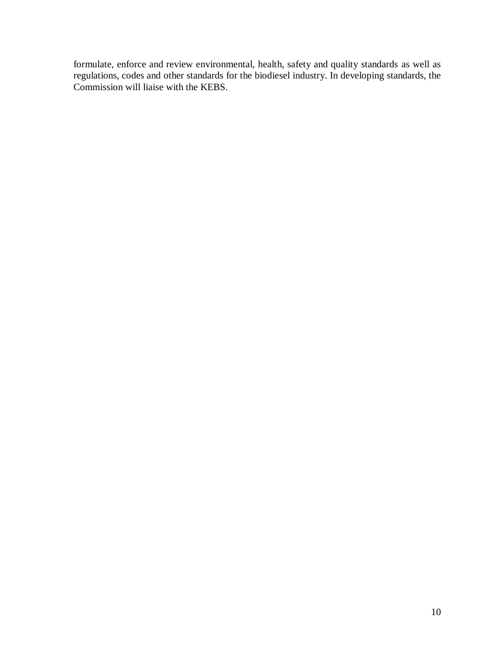formulate, enforce and review environmental, health, safety and quality standards as well as regulations, codes and other standards for the biodiesel industry. In developing standards, the Commission will liaise with the KEBS.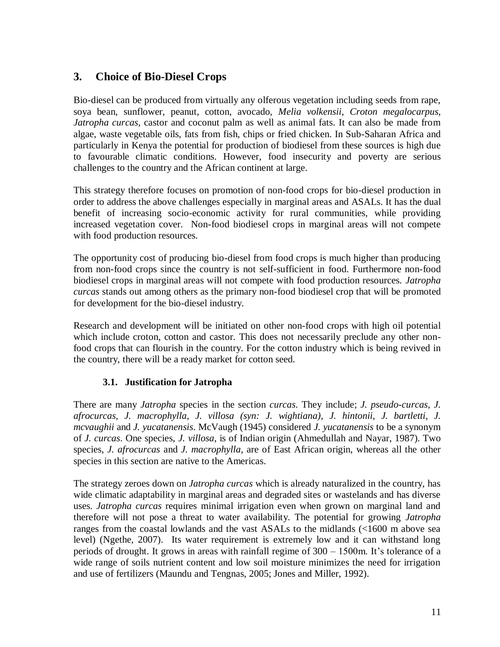## <span id="page-20-0"></span>**3. Choice of Bio-Diesel Crops**

Bio-diesel can be produced from virtually any olferous vegetation including seeds from rape, soya bean, sunflower, peanut, cotton, avocado, *Melia volkensii*, *Croton megalocarpus*, *Jatropha curcas*, castor and coconut palm as well as animal fats. It can also be made from algae, waste vegetable oils, fats from fish, chips or fried chicken. In Sub-Saharan Africa and particularly in Kenya the potential for production of biodiesel from these sources is high due to favourable climatic conditions. However, food insecurity and poverty are serious challenges to the country and the African continent at large.

This strategy therefore focuses on promotion of non-food crops for bio-diesel production in order to address the above challenges especially in marginal areas and ASALs. It has the dual benefit of increasing socio-economic activity for rural communities, while providing increased vegetation cover. Non-food biodiesel crops in marginal areas will not compete with food production resources.

The opportunity cost of producing bio-diesel from food crops is much higher than producing from non-food crops since the country is not self-sufficient in food. Furthermore non-food biodiesel crops in marginal areas will not compete with food production resources. *Jatropha curcas* stands out among others as the primary non-food biodiesel crop that will be promoted for development for the bio-diesel industry.

Research and development will be initiated on other non-food crops with high oil potential which include croton, cotton and castor. This does not necessarily preclude any other nonfood crops that can flourish in the country. For the cotton industry which is being revived in the country, there will be a ready market for cotton seed.

#### **3.1. Justification for Jatropha**

<span id="page-20-1"></span>There are many *Jatropha* species in the section *curcas*. They include; *J. pseudo-curcas*, *J. afrocurcas, J. macrophylla, J. villosa (syn: J. wightiana), J. hintonii, J. bartletti, J. mcvaughii* and *J. yucatanensis*. McVaugh (1945) considered *J. yucatanensis* to be a synonym of *J. curcas*. One species, *J. villosa*, is of Indian origin (Ahmedullah and Nayar, 1987). Two species, *J. afrocurcas* and *J. macrophylla*, are of East African origin, whereas all the other species in this section are native to the Americas.

The strategy zeroes down on *Jatropha curcas* which is already naturalized in the country, has wide climatic adaptability in marginal areas and degraded sites or wastelands and has diverse uses. *Jatropha curcas* requires minimal irrigation even when grown on marginal land and therefore will not pose a threat to water availability. The potential for growing *Jatropha* ranges from the coastal lowlands and the vast ASALs to the midlands (<1600 m above sea level) (Ngethe, 2007). Its water requirement is extremely low and it can withstand long periods of drought. It grows in areas with rainfall regime of 300 – 1500m. It's tolerance of a wide range of soils nutrient content and low soil moisture minimizes the need for irrigation and use of fertilizers (Maundu and Tengnas, 2005; Jones and Miller, 1992).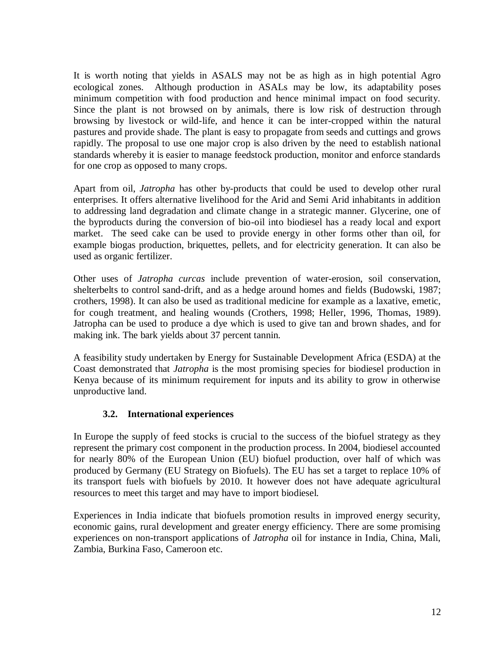It is worth noting that yields in ASALS may not be as high as in high potential Agro ecological zones. Although production in ASALs may be low, its adaptability poses minimum competition with food production and hence minimal impact on food security. Since the plant is not browsed on by animals, there is low risk of destruction through browsing by livestock or wild-life, and hence it can be inter-cropped within the natural pastures and provide shade. The plant is easy to propagate from seeds and cuttings and grows rapidly. The proposal to use one major crop is also driven by the need to establish national standards whereby it is easier to manage feedstock production, monitor and enforce standards for one crop as opposed to many crops.

Apart from oil, *Jatropha* has other by-products that could be used to develop other rural enterprises. It offers alternative livelihood for the Arid and Semi Arid inhabitants in addition to addressing land degradation and climate change in a strategic manner. Glycerine, one of the byproducts during the conversion of bio-oil into biodiesel has a ready local and export market. The seed cake can be used to provide energy in other forms other than oil, for example biogas production, briquettes, pellets, and for electricity generation. It can also be used as organic fertilizer.

Other uses of *Jatropha curcas* include prevention of water-erosion, soil conservation, shelterbelts to control sand-drift, and as a hedge around homes and fields (Budowski, 1987; crothers, 1998). It can also be used as traditional medicine for example as a laxative, emetic, for cough treatment, and healing wounds (Crothers, 1998; Heller, 1996, Thomas, 1989). Jatropha can be used to produce a dye which is used to give tan and brown shades, and for making ink. The bark yields about 37 percent tannin.

A feasibility study undertaken by Energy for Sustainable Development Africa (ESDA) at the Coast demonstrated that *Jatropha* is the most promising species for biodiesel production in Kenya because of its minimum requirement for inputs and its ability to grow in otherwise unproductive land.

#### <span id="page-21-0"></span>**3.2. International experiences**

In Europe the supply of feed stocks is crucial to the success of the biofuel strategy as they represent the primary cost component in the production process. In 2004, biodiesel accounted for nearly 80% of the European Union (EU) biofuel production, over half of which was produced by Germany (EU Strategy on Biofuels). The EU has set a target to replace 10% of its transport fuels with biofuels by 2010. It however does not have adequate agricultural resources to meet this target and may have to import biodiesel.

Experiences in India indicate that biofuels promotion results in improved energy security, economic gains, rural development and greater energy efficiency. There are some promising experiences on non-transport applications of *Jatropha* oil for instance in India, China, Mali, Zambia, Burkina Faso, Cameroon etc.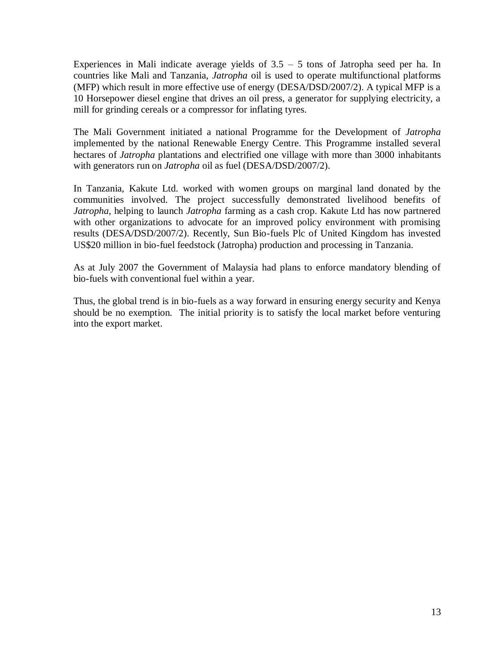Experiences in Mali indicate average yields of  $3.5 - 5$  tons of Jatropha seed per ha. In countries like Mali and Tanzania, *Jatropha* oil is used to operate multifunctional platforms (MFP) which result in more effective use of energy (DESA/DSD/2007/2). A typical MFP is a 10 Horsepower diesel engine that drives an oil press, a generator for supplying electricity, a mill for grinding cereals or a compressor for inflating tyres.

The Mali Government initiated a national Programme for the Development of *Jatropha* implemented by the national Renewable Energy Centre. This Programme installed several hectares of *Jatropha* plantations and electrified one village with more than 3000 inhabitants with generators run on *Jatropha* oil as fuel (DESA/DSD/2007/2).

In Tanzania, Kakute Ltd. worked with women groups on marginal land donated by the communities involved. The project successfully demonstrated livelihood benefits of *Jatropha*, helping to launch *Jatropha* farming as a cash crop. Kakute Ltd has now partnered with other organizations to advocate for an improved policy environment with promising results (DESA/DSD/2007/2). Recently, Sun Bio-fuels Plc of United Kingdom has invested US\$20 million in bio-fuel feedstock (Jatropha) production and processing in Tanzania.

As at July 2007 the Government of Malaysia had plans to enforce mandatory blending of bio-fuels with conventional fuel within a year.

Thus, the global trend is in bio-fuels as a way forward in ensuring energy security and Kenya should be no exemption. The initial priority is to satisfy the local market before venturing into the export market.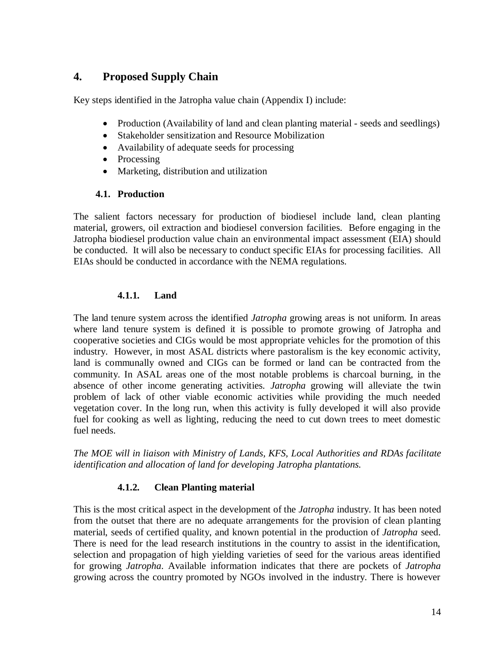## <span id="page-23-0"></span>**4. Proposed Supply Chain**

Key steps identified in the Jatropha value chain (Appendix I) include:

- Production (Availability of land and clean planting material seeds and seedlings)
- Stakeholder sensitization and Resource Mobilization
- Availability of adequate seeds for processing
- Processing
- Marketing, distribution and utilization

#### **4.1. Production**

<span id="page-23-1"></span>The salient factors necessary for production of biodiesel include land, clean planting material, growers, oil extraction and biodiesel conversion facilities. Before engaging in the Jatropha biodiesel production value chain an environmental impact assessment (EIA) should be conducted. It will also be necessary to conduct specific EIAs for processing facilities. All EIAs should be conducted in accordance with the NEMA regulations.

#### **4.1.1. Land**

<span id="page-23-2"></span>The land tenure system across the identified *Jatropha* growing areas is not uniform. In areas where land tenure system is defined it is possible to promote growing of Jatropha and cooperative societies and CIGs would be most appropriate vehicles for the promotion of this industry. However, in most ASAL districts where pastoralism is the key economic activity, land is communally owned and CIGs can be formed or land can be contracted from the community. In ASAL areas one of the most notable problems is charcoal burning, in the absence of other income generating activities. *Jatropha* growing will alleviate the twin problem of lack of other viable economic activities while providing the much needed vegetation cover. In the long run, when this activity is fully developed it will also provide fuel for cooking as well as lighting, reducing the need to cut down trees to meet domestic fuel needs.

*The MOE will in liaison with Ministry of Lands, KFS, Local Authorities and RDAs facilitate identification and allocation of land for developing Jatropha plantations.* 

#### **4.1.2. Clean Planting material**

<span id="page-23-3"></span>This is the most critical aspect in the development of the *Jatropha* industry. It has been noted from the outset that there are no adequate arrangements for the provision of clean planting material, seeds of certified quality, and known potential in the production of *Jatropha* seed. There is need for the lead research institutions in the country to assist in the identification, selection and propagation of high yielding varieties of seed for the various areas identified for growing *Jatropha*. Available information indicates that there are pockets of *Jatropha* growing across the country promoted by NGOs involved in the industry. There is however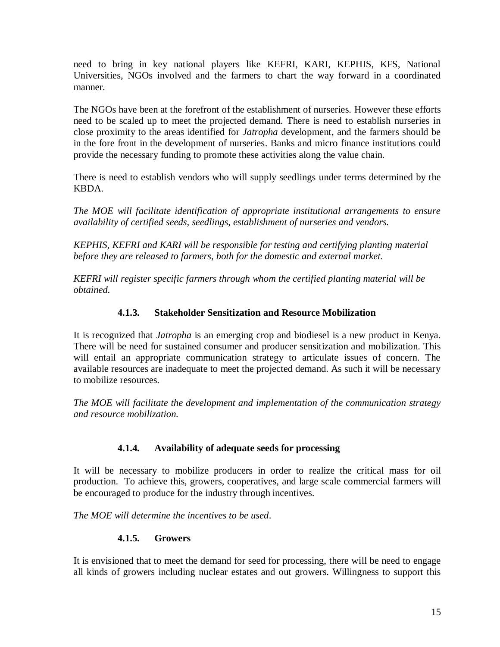need to bring in key national players like KEFRI, KARI, KEPHIS, KFS, National Universities, NGOs involved and the farmers to chart the way forward in a coordinated manner.

The NGOs have been at the forefront of the establishment of nurseries. However these efforts need to be scaled up to meet the projected demand. There is need to establish nurseries in close proximity to the areas identified for *Jatropha* development, and the farmers should be in the fore front in the development of nurseries. Banks and micro finance institutions could provide the necessary funding to promote these activities along the value chain.

There is need to establish vendors who will supply seedlings under terms determined by the KBDA.

*The MOE will facilitate identification of appropriate institutional arrangements to ensure availability of certified seeds, seedlings, establishment of nurseries and vendors.* 

*KEPHIS, KEFRI and KARI will be responsible for testing and certifying planting material before they are released to farmers, both for the domestic and external market.*

*KEFRI will register specific farmers through whom the certified planting material will be obtained.*

#### **4.1.3. Stakeholder Sensitization and Resource Mobilization**

<span id="page-24-0"></span>It is recognized that *Jatropha* is an emerging crop and biodiesel is a new product in Kenya. There will be need for sustained consumer and producer sensitization and mobilization. This will entail an appropriate communication strategy to articulate issues of concern. The available resources are inadequate to meet the projected demand. As such it will be necessary to mobilize resources.

*The MOE will facilitate the development and implementation of the communication strategy and resource mobilization.*

#### **4.1.4. Availability of adequate seeds for processing**

<span id="page-24-1"></span>It will be necessary to mobilize producers in order to realize the critical mass for oil production. To achieve this, growers, cooperatives, and large scale commercial farmers will be encouraged to produce for the industry through incentives.

<span id="page-24-2"></span>*The MOE will determine the incentives to be used*.

## **4.1.5. Growers**

It is envisioned that to meet the demand for seed for processing, there will be need to engage all kinds of growers including nuclear estates and out growers. Willingness to support this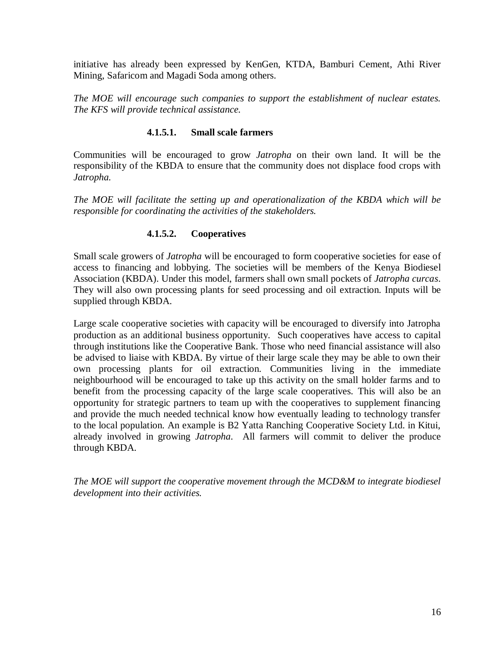initiative has already been expressed by KenGen, KTDA, Bamburi Cement, Athi River Mining, Safaricom and Magadi Soda among others.

*The MOE will encourage such companies to support the establishment of nuclear estates. The KFS will provide technical assistance.* 

#### **4.1.5.1. Small scale farmers**

<span id="page-25-0"></span>Communities will be encouraged to grow *Jatropha* on their own land. It will be the responsibility of the KBDA to ensure that the community does not displace food crops with *Jatropha.*

*The MOE will facilitate the setting up and operationalization of the KBDA which will be responsible for coordinating the activities of the stakeholders.*

#### **4.1.5.2. Cooperatives**

<span id="page-25-1"></span>Small scale growers of *Jatropha* will be encouraged to form cooperative societies for ease of access to financing and lobbying. The societies will be members of the Kenya Biodiesel Association (KBDA). Under this model, farmers shall own small pockets of *Jatropha curcas*. They will also own processing plants for seed processing and oil extraction. Inputs will be supplied through KBDA.

Large scale cooperative societies with capacity will be encouraged to diversify into Jatropha production as an additional business opportunity. Such cooperatives have access to capital through institutions like the Cooperative Bank. Those who need financial assistance will also be advised to liaise with KBDA. By virtue of their large scale they may be able to own their own processing plants for oil extraction. Communities living in the immediate neighbourhood will be encouraged to take up this activity on the small holder farms and to benefit from the processing capacity of the large scale cooperatives. This will also be an opportunity for strategic partners to team up with the cooperatives to supplement financing and provide the much needed technical know how eventually leading to technology transfer to the local population. An example is B2 Yatta Ranching Cooperative Society Ltd. in Kitui, already involved in growing *Jatropha*. All farmers will commit to deliver the produce through KBDA.

*The MOE will support the cooperative movement through the MCD&M to integrate biodiesel development into their activities.*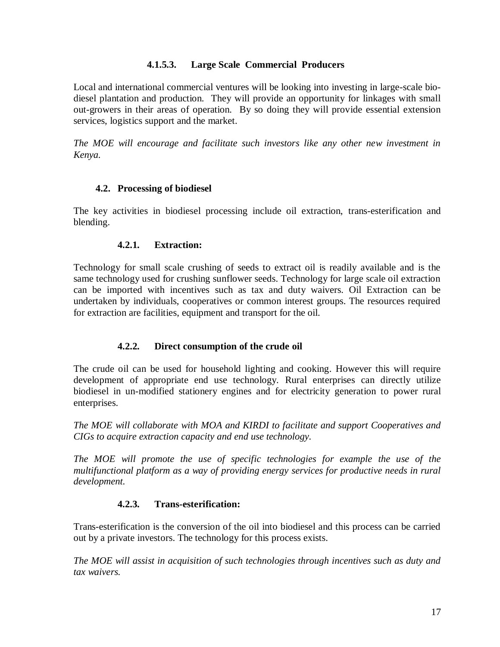#### **4.1.5.3. Large Scale Commercial Producers**

<span id="page-26-0"></span>Local and international commercial ventures will be looking into investing in large-scale biodiesel plantation and production. They will provide an opportunity for linkages with small out-growers in their areas of operation. By so doing they will provide essential extension services, logistics support and the market.

*The MOE will encourage and facilitate such investors like any other new investment in Kenya.*

#### **4.2. Processing of biodiesel**

<span id="page-26-1"></span>The key activities in biodiesel processing include oil extraction, trans-esterification and blending.

#### **4.2.1. Extraction:**

<span id="page-26-2"></span>Technology for small scale crushing of seeds to extract oil is readily available and is the same technology used for crushing sunflower seeds. Technology for large scale oil extraction can be imported with incentives such as tax and duty waivers. Oil Extraction can be undertaken by individuals, cooperatives or common interest groups. The resources required for extraction are facilities, equipment and transport for the oil.

#### **4.2.2. Direct consumption of the crude oil**

<span id="page-26-3"></span>The crude oil can be used for household lighting and cooking. However this will require development of appropriate end use technology. Rural enterprises can directly utilize biodiesel in un-modified stationery engines and for electricity generation to power rural enterprises.

*The MOE will collaborate with MOA and KIRDI to facilitate and support Cooperatives and CIGs to acquire extraction capacity and end use technology.*

*The MOE will promote the use of specific technologies for example the use of the multifunctional platform as a way of providing energy services for productive needs in rural development.*

#### **4.2.3. Trans-esterification:**

<span id="page-26-4"></span>Trans-esterification is the conversion of the oil into biodiesel and this process can be carried out by a private investors. The technology for this process exists.

*The MOE will assist in acquisition of such technologies through incentives such as duty and tax waivers.*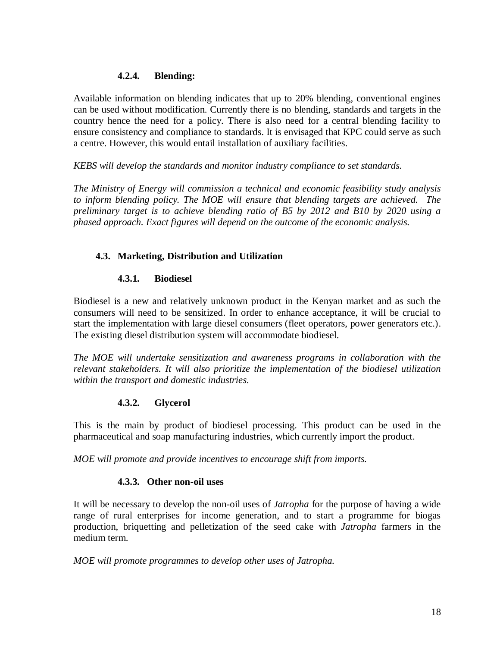#### **4.2.4. Blending:**

<span id="page-27-0"></span>Available information on blending indicates that up to 20% blending, conventional engines can be used without modification. Currently there is no blending, standards and targets in the country hence the need for a policy. There is also need for a central blending facility to ensure consistency and compliance to standards. It is envisaged that KPC could serve as such a centre. However, this would entail installation of auxiliary facilities.

#### *KEBS will develop the standards and monitor industry compliance to set standards.*

*The Ministry of Energy will commission a technical and economic feasibility study analysis to inform blending policy. The MOE will ensure that blending targets are achieved. The preliminary target is to achieve blending ratio of B5 by 2012 and B10 by 2020 using a phased approach. Exact figures will depend on the outcome of the economic analysis.*

#### <span id="page-27-1"></span>**4.3. Marketing, Distribution and Utilization**

#### **4.3.1. Biodiesel**

<span id="page-27-2"></span>Biodiesel is a new and relatively unknown product in the Kenyan market and as such the consumers will need to be sensitized. In order to enhance acceptance, it will be crucial to start the implementation with large diesel consumers (fleet operators, power generators etc.). The existing diesel distribution system will accommodate biodiesel.

*The MOE will undertake sensitization and awareness programs in collaboration with the relevant stakeholders. It will also prioritize the implementation of the biodiesel utilization within the transport and domestic industries.*

#### **4.3.2. Glycerol**

<span id="page-27-3"></span>This is the main by product of biodiesel processing. This product can be used in the pharmaceutical and soap manufacturing industries, which currently import the product.

<span id="page-27-4"></span>*MOE will promote and provide incentives to encourage shift from imports.* 

#### **4.3.3. Other non-oil uses**

It will be necessary to develop the non-oil uses of *Jatropha* for the purpose of having a wide range of rural enterprises for income generation, and to start a programme for biogas production, briquetting and pelletization of the seed cake with *Jatropha* farmers in the medium term.

*MOE will promote programmes to develop other uses of Jatropha.*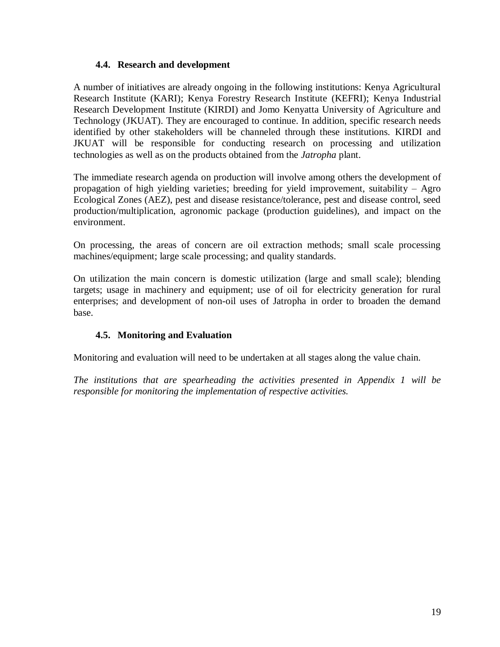#### **4.4. Research and development**

<span id="page-28-0"></span>A number of initiatives are already ongoing in the following institutions: Kenya Agricultural Research Institute (KARI); Kenya Forestry Research Institute (KEFRI); Kenya Industrial Research Development Institute (KIRDI) and Jomo Kenyatta University of Agriculture and Technology (JKUAT). They are encouraged to continue. In addition, specific research needs identified by other stakeholders will be channeled through these institutions. KIRDI and JKUAT will be responsible for conducting research on processing and utilization technologies as well as on the products obtained from the *Jatropha* plant.

The immediate research agenda on production will involve among others the development of propagation of high yielding varieties; breeding for yield improvement, suitability – Agro Ecological Zones (AEZ), pest and disease resistance/tolerance, pest and disease control, seed production/multiplication, agronomic package (production guidelines), and impact on the environment.

On processing, the areas of concern are oil extraction methods; small scale processing machines/equipment; large scale processing; and quality standards.

On utilization the main concern is domestic utilization (large and small scale); blending targets; usage in machinery and equipment; use of oil for electricity generation for rural enterprises; and development of non-oil uses of Jatropha in order to broaden the demand base.

#### **4.5. Monitoring and Evaluation**

<span id="page-28-1"></span>Monitoring and evaluation will need to be undertaken at all stages along the value chain.

*The institutions that are spearheading the activities presented in Appendix 1 will be responsible for monitoring the implementation of respective activities.*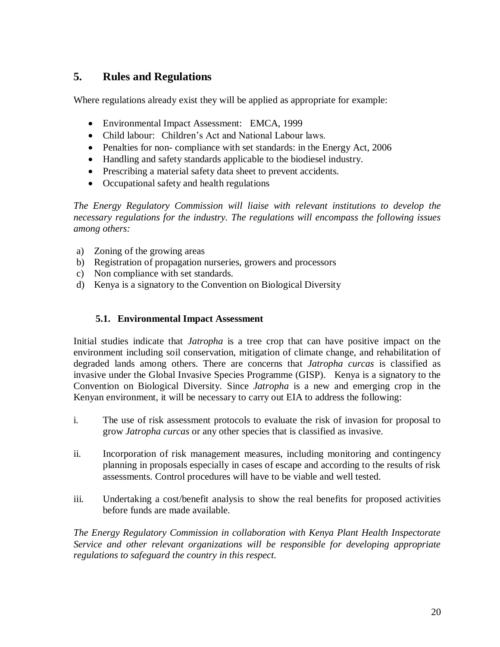## <span id="page-29-0"></span>**5. Rules and Regulations**

Where regulations already exist they will be applied as appropriate for example:

- Environmental Impact Assessment: EMCA, 1999
- Child labour: Children's Act and National Labour laws.
- Penalties for non- compliance with set standards: in the Energy Act, 2006
- Handling and safety standards applicable to the biodiesel industry.
- Prescribing a material safety data sheet to prevent accidents.
- Occupational safety and health regulations

*The Energy Regulatory Commission will liaise with relevant institutions to develop the necessary regulations for the industry. The regulations will encompass the following issues among others:*

- a) Zoning of the growing areas
- b) Registration of propagation nurseries, growers and processors
- c) Non compliance with set standards.
- d) Kenya is a signatory to the Convention on Biological Diversity

#### **5.1. Environmental Impact Assessment**

<span id="page-29-1"></span>Initial studies indicate that *Jatropha* is a tree crop that can have positive impact on the environment including soil conservation, mitigation of climate change, and rehabilitation of degraded lands among others. There are concerns that *Jatropha curcas* is classified as invasive under the Global Invasive Species Programme (GISP). Kenya is a signatory to the Convention on Biological Diversity. Since *Jatropha* is a new and emerging crop in the Kenyan environment, it will be necessary to carry out EIA to address the following:

- i. The use of risk assessment protocols to evaluate the risk of invasion for proposal to grow *Jatropha curcas* or any other species that is classified as invasive.
- ii. Incorporation of risk management measures, including monitoring and contingency planning in proposals especially in cases of escape and according to the results of risk assessments. Control procedures will have to be viable and well tested.
- iii. Undertaking a cost/benefit analysis to show the real benefits for proposed activities before funds are made available.

*The Energy Regulatory Commission in collaboration with Kenya Plant Health Inspectorate Service and other relevant organizations will be responsible for developing appropriate regulations to safeguard the country in this respect.*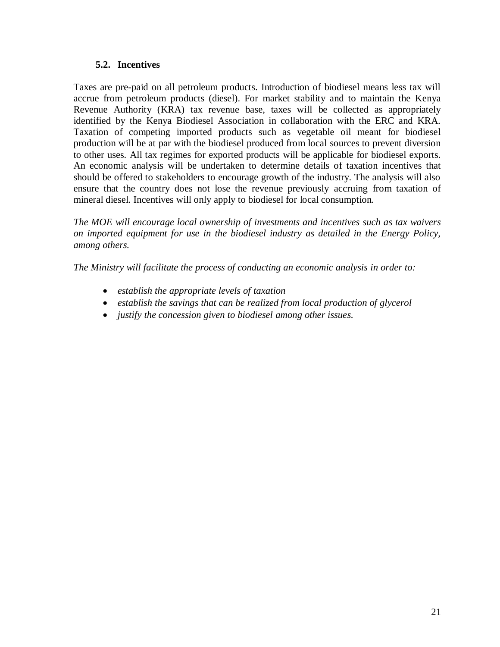#### **5.2. Incentives**

<span id="page-30-0"></span>Taxes are pre-paid on all petroleum products. Introduction of biodiesel means less tax will accrue from petroleum products (diesel). For market stability and to maintain the Kenya Revenue Authority (KRA) tax revenue base, taxes will be collected as appropriately identified by the Kenya Biodiesel Association in collaboration with the ERC and KRA. Taxation of competing imported products such as vegetable oil meant for biodiesel production will be at par with the biodiesel produced from local sources to prevent diversion to other uses. All tax regimes for exported products will be applicable for biodiesel exports. An economic analysis will be undertaken to determine details of taxation incentives that should be offered to stakeholders to encourage growth of the industry. The analysis will also ensure that the country does not lose the revenue previously accruing from taxation of mineral diesel. Incentives will only apply to biodiesel for local consumption.

*The MOE will encourage local ownership of investments and incentives such as tax waivers on imported equipment for use in the biodiesel industry as detailed in the Energy Policy, among others.*

*The Ministry will facilitate the process of conducting an economic analysis in order to:*

- *establish the appropriate levels of taxation*
- *establish the savings that can be realized from local production of glycerol*
- *justify the concession given to biodiesel among other issues.*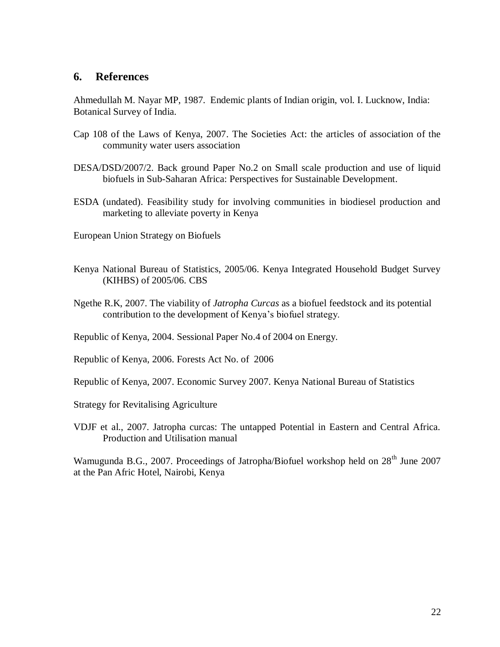#### <span id="page-31-0"></span>**6. References**

Ahmedullah M. Nayar MP, 1987. Endemic plants of Indian origin, vol. I. Lucknow, India: Botanical Survey of India.

- Cap 108 of the Laws of Kenya, 2007. The Societies Act: the articles of association of the community water users association
- DESA/DSD/2007/2. Back ground Paper No.2 on Small scale production and use of liquid biofuels in Sub-Saharan Africa: Perspectives for Sustainable Development.
- ESDA (undated). Feasibility study for involving communities in biodiesel production and marketing to alleviate poverty in Kenya
- European Union Strategy on Biofuels
- Kenya National Bureau of Statistics, 2005/06. Kenya Integrated Household Budget Survey (KIHBS) of 2005/06. CBS
- Ngethe R.K, 2007. The viability of *Jatropha Curcas* as a biofuel feedstock and its potential contribution to the development of Kenya's biofuel strategy.
- Republic of Kenya, 2004. Sessional Paper No.4 of 2004 on Energy.
- Republic of Kenya, 2006. Forests Act No. of 2006
- Republic of Kenya, 2007. Economic Survey 2007. Kenya National Bureau of Statistics
- Strategy for Revitalising Agriculture
- VDJF et al., 2007. Jatropha curcas: The untapped Potential in Eastern and Central Africa. Production and Utilisation manual

Wamugunda B.G., 2007. Proceedings of Jatropha/Biofuel workshop held on 28<sup>th</sup> June 2007 at the Pan Afric Hotel, Nairobi, Kenya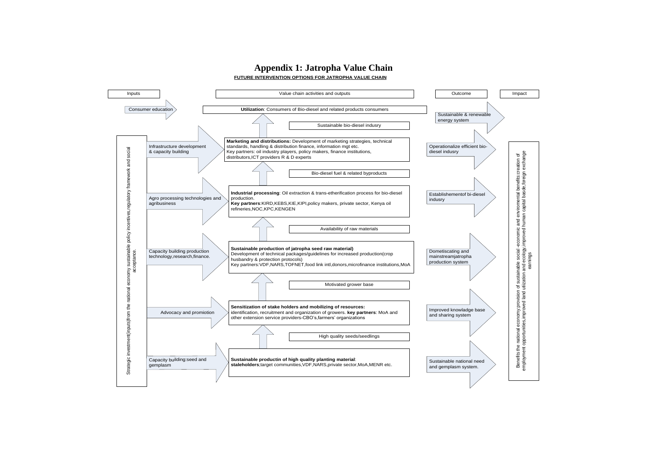#### **Appendix 1: Jatropha Value Chain FUTURE INTERVENTION OPTIONS FOR JATROPHA VALUE CHAIN**

<span id="page-32-0"></span>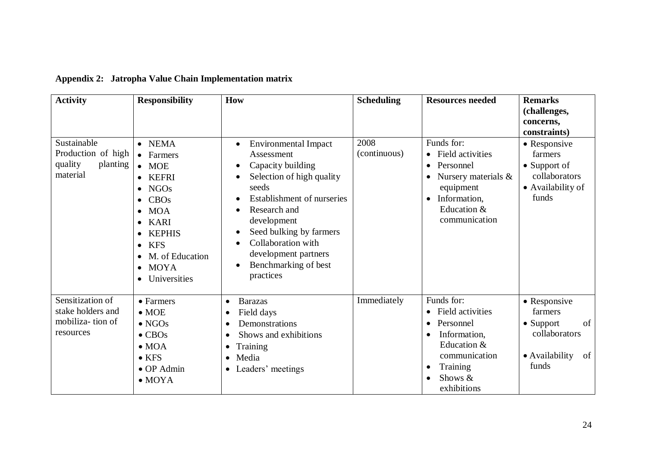<span id="page-33-0"></span>

| <b>Activity</b>                                                        | <b>Responsibility</b>                                                                                                                                                                                                                                                                         | <b>How</b>                                                                                                                                                                                                                                                                                   | <b>Scheduling</b>    | <b>Resources needed</b>                                                                                                                                       | <b>Remarks</b><br>(challenges,<br>concerns,<br>constraints)                                          |
|------------------------------------------------------------------------|-----------------------------------------------------------------------------------------------------------------------------------------------------------------------------------------------------------------------------------------------------------------------------------------------|----------------------------------------------------------------------------------------------------------------------------------------------------------------------------------------------------------------------------------------------------------------------------------------------|----------------------|---------------------------------------------------------------------------------------------------------------------------------------------------------------|------------------------------------------------------------------------------------------------------|
| Sustainable<br>Production of high<br>quality<br>planting<br>material   | <b>NEMA</b><br>$\bullet$<br>• Farmers<br><b>MOE</b><br>$\bullet$<br><b>KEFRI</b><br><b>NGOs</b><br><b>CBOs</b><br>$\bullet$<br><b>MOA</b><br>$\bullet$<br><b>KARI</b><br><b>KEPHIS</b><br>$\bullet$<br><b>KFS</b><br>$\bullet$<br>M. of Education<br><b>MOYA</b><br>$\bullet$<br>Universities | <b>Environmental Impact</b><br>$\bullet$<br>Assessment<br>Capacity building<br>Selection of high quality<br>seeds<br>Establishment of nurseries<br>Research and<br>development<br>Seed bulking by farmers<br>Collaboration with<br>development partners<br>Benchmarking of best<br>practices | 2008<br>(continuous) | Funds for:<br>• Field activities<br>Personnel<br>Nursery materials $\&$<br>equipment<br>• Information,<br>Education &<br>communication                        | • Responsive<br>farmers<br>• Support of<br>collaborators<br>• Availability of<br>funds               |
| Sensitization of<br>stake holders and<br>mobiliza-tion of<br>resources | $\bullet$ Farmers<br>$\bullet$ MOE<br>$\bullet$ NGOs<br>$\bullet$ CBOs<br>$\bullet$ MOA<br>$\bullet$ KFS<br>$\bullet$ OP Admin<br>$\bullet$ MOYA                                                                                                                                              | <b>Barazas</b><br>$\bullet$<br>Field days<br>Demonstrations<br>Shows and exhibitions<br>Training<br>Media<br>$\bullet$<br>Leaders' meetings                                                                                                                                                  | Immediately          | Funds for:<br>Field activities<br>Personnel<br>Information,<br>$\bullet$<br>Education &<br>communication<br>Training<br>$\bullet$<br>Shows $&$<br>exhibitions | • Responsive<br>farmers<br>of<br>$\bullet$ Support<br>collaborators<br>• Availability<br>of<br>funds |

## **Appendix 2: Jatropha Value Chain Implementation matrix**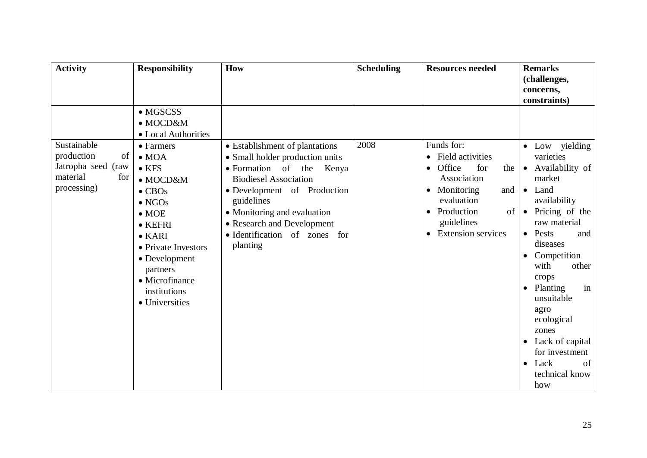| <b>Activity</b>                                                                         | <b>Responsibility</b>                                                                                                                                                                                                                                             | How                                                                                                                                                                                                                                                                                        | <b>Scheduling</b> | <b>Resources needed</b>                                                                                                                                                                  | <b>Remarks</b><br>(challenges,<br>concerns,<br>constraints)                                                                                                                                                                                                                                                                                                                                                        |
|-----------------------------------------------------------------------------------------|-------------------------------------------------------------------------------------------------------------------------------------------------------------------------------------------------------------------------------------------------------------------|--------------------------------------------------------------------------------------------------------------------------------------------------------------------------------------------------------------------------------------------------------------------------------------------|-------------------|------------------------------------------------------------------------------------------------------------------------------------------------------------------------------------------|--------------------------------------------------------------------------------------------------------------------------------------------------------------------------------------------------------------------------------------------------------------------------------------------------------------------------------------------------------------------------------------------------------------------|
|                                                                                         | $\bullet$ MGSCSS<br>$\bullet$ MOCD&M<br>• Local Authorities                                                                                                                                                                                                       |                                                                                                                                                                                                                                                                                            |                   |                                                                                                                                                                                          |                                                                                                                                                                                                                                                                                                                                                                                                                    |
| Sustainable<br>production<br>of<br>Jatropha seed (raw<br>material<br>for<br>processing) | $\bullet$ Farmers<br>$\bullet$ MOA<br>$\bullet$ KFS<br>• MOCD&M<br>$\bullet$ CBOs<br>$\bullet$ NGOs<br>$\bullet$ MOE<br>$\bullet$ KEFRI<br>$\bullet$ KARI<br>• Private Investors<br>• Development<br>partners<br>• Microfinance<br>institutions<br>• Universities | • Establishment of plantations<br>• Small holder production units<br>• Formation<br>of the<br>Kenya<br><b>Biodiesel Association</b><br>• Development of Production<br>guidelines<br>• Monitoring and evaluation<br>• Research and Development<br>· Identification of zones for<br>planting | 2008              | Funds for:<br>• Field activities<br>Office<br>for<br>the<br>$\bullet$<br>Association<br>Monitoring<br>and<br>evaluation<br>Production<br>of  <br>guidelines<br><b>Extension services</b> | • Low yielding<br>varieties<br>Availability of<br>$\bullet$<br>market<br>Land<br>$\bullet$<br>availability<br>Pricing of the<br>$\bullet$<br>raw material<br>Pests<br>and<br>$\bullet$<br>diseases<br>Competition<br>with<br>other<br>crops<br>• Planting<br>in<br>unsuitable<br>agro<br>ecological<br>zones<br>Lack of capital<br>$\bullet$<br>for investment<br>Lack<br>of<br>$\bullet$<br>technical know<br>how |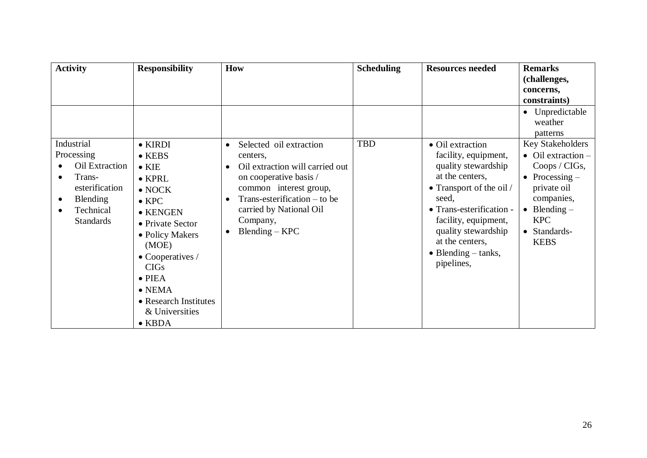| <b>Activity</b>                                                                                                                              | <b>Responsibility</b>                                                                                                                                                                                                                                                                                                   | How                                                                                                                                                                                                                                                             | <b>Scheduling</b> | <b>Resources needed</b>                                                                                                                                                                                                                                                | <b>Remarks</b>                                                                                                                                                                                              |
|----------------------------------------------------------------------------------------------------------------------------------------------|-------------------------------------------------------------------------------------------------------------------------------------------------------------------------------------------------------------------------------------------------------------------------------------------------------------------------|-----------------------------------------------------------------------------------------------------------------------------------------------------------------------------------------------------------------------------------------------------------------|-------------------|------------------------------------------------------------------------------------------------------------------------------------------------------------------------------------------------------------------------------------------------------------------------|-------------------------------------------------------------------------------------------------------------------------------------------------------------------------------------------------------------|
|                                                                                                                                              |                                                                                                                                                                                                                                                                                                                         |                                                                                                                                                                                                                                                                 |                   |                                                                                                                                                                                                                                                                        | (challenges,<br>concerns,<br>constraints)                                                                                                                                                                   |
|                                                                                                                                              |                                                                                                                                                                                                                                                                                                                         |                                                                                                                                                                                                                                                                 |                   |                                                                                                                                                                                                                                                                        | Unpredictable<br>$\bullet$<br>weather<br>patterns                                                                                                                                                           |
| Industrial<br>Processing<br>Oil Extraction<br>Trans-<br>$\bullet$<br>esterification<br><b>Blending</b><br>٠<br>Technical<br><b>Standards</b> | $\bullet$ KIRDI<br>$\bullet$ KEBS<br>$\bullet$ KIE<br>$\bullet$ KPRL<br>$\bullet$ NOCK<br>$\bullet$ KPC<br>$\bullet$ KENGEN<br>• Private Sector<br>• Policy Makers<br>(MOE)<br>$\bullet$ Cooperatives /<br><b>CIGs</b><br>$\bullet$ PIEA<br>$\bullet$ NEMA<br>• Research Institutes<br>& Universities<br>$\bullet$ KBDA | Selected oil extraction<br>$\bullet$<br>centers.<br>Oil extraction will carried out<br>$\bullet$<br>on cooperative basis /<br>common interest group,<br>Trans-esterification $-$ to be<br>$\bullet$<br>carried by National Oil<br>Company,<br>$B$ lending – KPC | <b>TBD</b>        | • Oil extraction<br>facility, equipment,<br>quality stewardship<br>at the centers,<br>• Transport of the oil $/$<br>seed,<br>• Trans-esterification -<br>facility, equipment,<br>quality stewardship<br>at the centers,<br>$\bullet$ Blending $-$ tanks,<br>pipelines, | Key Stakeholders<br>$\bullet$ Oil extraction –<br>Coops / CIGs,<br>Processing $-$<br>$\bullet$<br>private oil<br>companies,<br>$\bullet$ Blending –<br><b>KPC</b><br>Standards-<br>$\bullet$<br><b>KEBS</b> |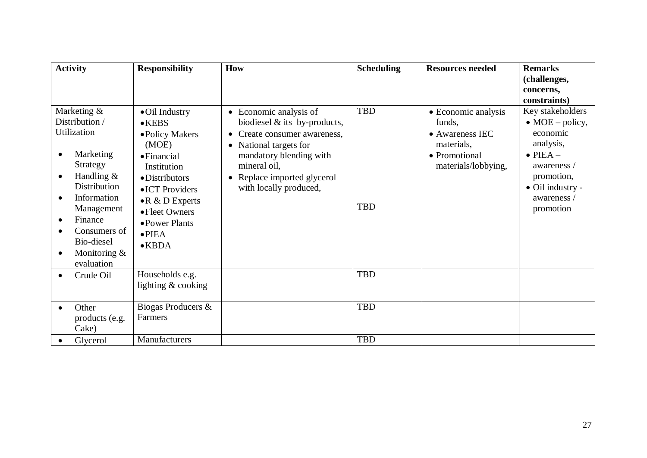| <b>Activity</b>                                                                                                                                                                                                                                                                         | <b>Responsibility</b>                                                                                                                                                                                                                      | How                                                                                                                                                                                                                                        | <b>Scheduling</b>        | <b>Resources needed</b>                                                                                | <b>Remarks</b><br>(challenges,                                                                                                                                          |
|-----------------------------------------------------------------------------------------------------------------------------------------------------------------------------------------------------------------------------------------------------------------------------------------|--------------------------------------------------------------------------------------------------------------------------------------------------------------------------------------------------------------------------------------------|--------------------------------------------------------------------------------------------------------------------------------------------------------------------------------------------------------------------------------------------|--------------------------|--------------------------------------------------------------------------------------------------------|-------------------------------------------------------------------------------------------------------------------------------------------------------------------------|
|                                                                                                                                                                                                                                                                                         |                                                                                                                                                                                                                                            |                                                                                                                                                                                                                                            |                          |                                                                                                        | concerns,<br>constraints)                                                                                                                                               |
| Marketing &<br>Distribution /<br>Utilization<br>Marketing<br>$\bullet$<br>Strategy<br>Handling $&$<br>$\bullet$<br>Distribution<br>Information<br>$\bullet$<br>Management<br>Finance<br>$\bullet$<br>Consumers of<br>$\bullet$<br>Bio-diesel<br>Monitoring &<br>$\bullet$<br>evaluation | • Oil Industry<br>$\bullet$ KEBS<br>• Policy Makers<br>(MOE)<br>$\bullet$ Financial<br>Institution<br>• Distributors<br>• ICT Providers<br>$\bullet$ R & D Experts<br>• Fleet Owners<br>• Power Plants<br>$\bullet$ PIEA<br>$\bullet$ KBDA | • Economic analysis of<br>biodiesel & its by-products,<br>Create consumer awareness,<br>$\bullet$<br>• National targets for<br>mandatory blending with<br>mineral oil,<br>Replace imported glycerol<br>$\bullet$<br>with locally produced, | <b>TBD</b><br><b>TBD</b> | • Economic analysis<br>funds,<br>• Awareness IEC<br>materials,<br>• Promotional<br>materials/lobbying, | Key stakeholders<br>$\bullet$ MOE – policy,<br>economic<br>analysis,<br>$\bullet$ PIEA $-$<br>awareness /<br>promotion,<br>• Oil industry -<br>awareness /<br>promotion |
| Crude Oil<br>$\bullet$                                                                                                                                                                                                                                                                  | Households e.g.<br>lighting & cooking                                                                                                                                                                                                      |                                                                                                                                                                                                                                            | <b>TBD</b>               |                                                                                                        |                                                                                                                                                                         |
| Other<br>$\bullet$<br>products (e.g.<br>Cake)                                                                                                                                                                                                                                           | Biogas Producers &<br>Farmers                                                                                                                                                                                                              |                                                                                                                                                                                                                                            | <b>TBD</b>               |                                                                                                        |                                                                                                                                                                         |
| Glycerol<br>$\bullet$                                                                                                                                                                                                                                                                   | Manufacturers                                                                                                                                                                                                                              |                                                                                                                                                                                                                                            | <b>TBD</b>               |                                                                                                        |                                                                                                                                                                         |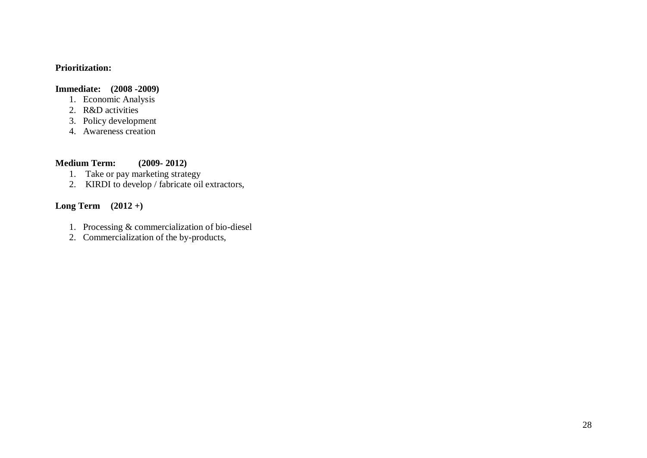#### **Prioritization:**

#### **Immediate: (2008 -2009)**

- 1. Economic Analysis
- 2. R&D activities
- 3. Policy development
- 4. Awareness creation

#### **Medium Term: (2009- 2012)**

- 1. Take or pay marketing strategy
- 2. KIRDI to develop / fabricate oil extractors,

#### **Long Term (2012 +)**

- 1. Processing & commercialization of bio-diesel
- 2. Commercialization of the by-products,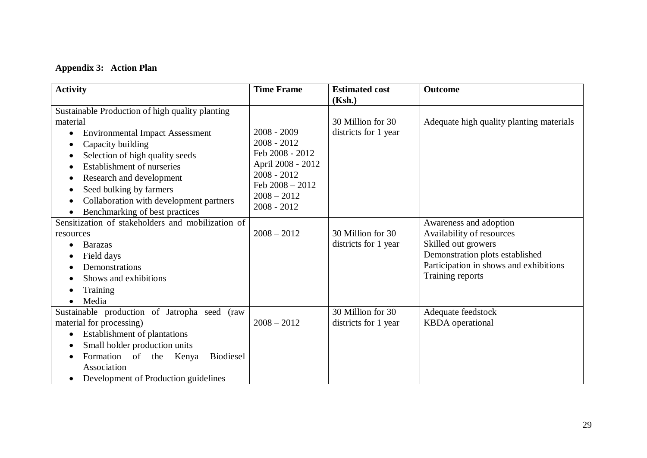## **Appendix 3: Action Plan**

<span id="page-38-0"></span>

| <b>Activity</b>                                     | <b>Time Frame</b>              | <b>Estimated cost</b> | Outcome                                  |
|-----------------------------------------------------|--------------------------------|-----------------------|------------------------------------------|
|                                                     |                                | (Ksh.)                |                                          |
| Sustainable Production of high quality planting     |                                |                       |                                          |
| material                                            |                                | 30 Million for 30     | Adequate high quality planting materials |
| <b>Environmental Impact Assessment</b><br>$\bullet$ | $2008 - 2009$                  | districts for 1 year  |                                          |
| Capacity building                                   | $2008 - 2012$                  |                       |                                          |
| Selection of high quality seeds                     | Feb 2008 - 2012                |                       |                                          |
| <b>Establishment of nurseries</b>                   | April 2008 - 2012              |                       |                                          |
| Research and development                            | $2008 - 2012$                  |                       |                                          |
| Seed bulking by farmers<br>$\bullet$                | Feb $2008 - 2012$              |                       |                                          |
| Collaboration with development partners             | $2008 - 2012$<br>$2008 - 2012$ |                       |                                          |
| Benchmarking of best practices                      |                                |                       |                                          |
| Sensitization of stakeholders and mobilization of   |                                |                       | Awareness and adoption                   |
| resources                                           | $2008 - 2012$                  | 30 Million for 30     | Availability of resources                |
| <b>Barazas</b><br>$\bullet$                         |                                | districts for 1 year  | Skilled out growers                      |
| Field days                                          |                                |                       | Demonstration plots established          |
| Demonstrations                                      |                                |                       | Participation in shows and exhibitions   |
| Shows and exhibitions                               |                                |                       | Training reports                         |
| Training<br>$\bullet$                               |                                |                       |                                          |
| Media<br>$\bullet$                                  |                                |                       |                                          |
| Sustainable production of Jatropha seed (raw        |                                | 30 Million for 30     | Adequate feedstock                       |
| material for processing)                            | $2008 - 2012$                  | districts for 1 year  | <b>KBDA</b> operational                  |
| Establishment of plantations<br>$\bullet$           |                                |                       |                                          |
| Small holder production units                       |                                |                       |                                          |
| Formation of the<br><b>Biodiesel</b><br>Kenya       |                                |                       |                                          |
| Association                                         |                                |                       |                                          |
| Development of Production guidelines<br>$\bullet$   |                                |                       |                                          |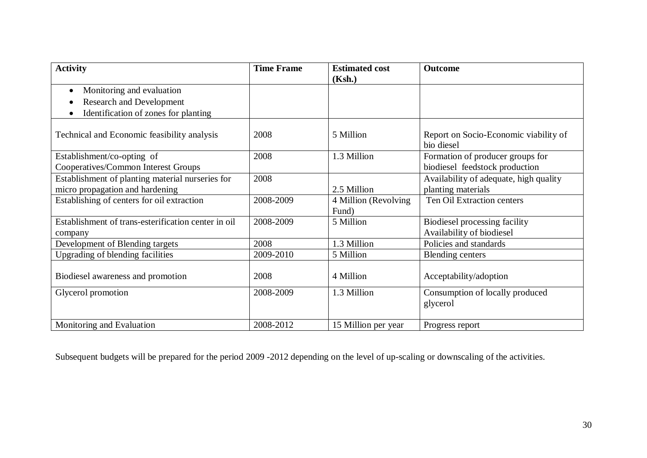| <b>Activity</b>                                                                     | <b>Time Frame</b> | <b>Estimated cost</b>          | <b>Outcome</b>                                                     |
|-------------------------------------------------------------------------------------|-------------------|--------------------------------|--------------------------------------------------------------------|
|                                                                                     |                   | (Ksh.)                         |                                                                    |
| Monitoring and evaluation<br>$\bullet$                                              |                   |                                |                                                                    |
| <b>Research and Development</b>                                                     |                   |                                |                                                                    |
| Identification of zones for planting                                                |                   |                                |                                                                    |
| Technical and Economic feasibility analysis                                         | 2008              | 5 Million                      | Report on Socio-Economic viability of<br>bio diesel                |
| Establishment/co-opting of<br>Cooperatives/Common Interest Groups                   | 2008              | 1.3 Million                    | Formation of producer groups for<br>biodiesel feedstock production |
| Establishment of planting material nurseries for<br>micro propagation and hardening | 2008              | 2.5 Million                    | Availability of adequate, high quality<br>planting materials       |
| Establishing of centers for oil extraction                                          | 2008-2009         | 4 Million (Revolving)<br>Fund) | Ten Oil Extraction centers                                         |
| Establishment of trans-esterification center in oil<br>company                      | 2008-2009         | 5 Million                      | Biodiesel processing facility<br>Availability of biodiesel         |
| Development of Blending targets                                                     | 2008              | 1.3 Million                    | Policies and standards                                             |
| Upgrading of blending facilities                                                    | 2009-2010         | 5 Million                      | <b>Blending centers</b>                                            |
| Biodiesel awareness and promotion                                                   | 2008              | 4 Million                      | Acceptability/adoption                                             |
| Glycerol promotion                                                                  | 2008-2009         | 1.3 Million                    | Consumption of locally produced<br>glycerol                        |
| Monitoring and Evaluation                                                           | 2008-2012         | 15 Million per year            | Progress report                                                    |

Subsequent budgets will be prepared for the period 2009 -2012 depending on the level of up-scaling or downscaling of the activities.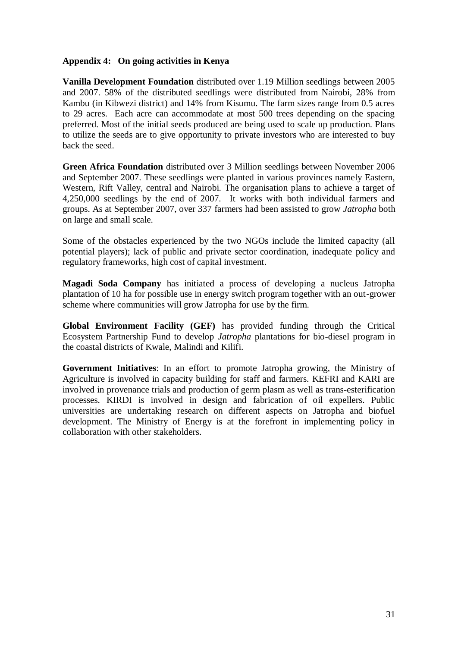#### <span id="page-40-0"></span>**Appendix 4: On going activities in Kenya**

**Vanilla Development Foundation** distributed over 1.19 Million seedlings between 2005 and 2007. 58% of the distributed seedlings were distributed from Nairobi, 28% from Kambu (in Kibwezi district) and 14% from Kisumu. The farm sizes range from 0.5 acres to 29 acres. Each acre can accommodate at most 500 trees depending on the spacing preferred. Most of the initial seeds produced are being used to scale up production. Plans to utilize the seeds are to give opportunity to private investors who are interested to buy back the seed.

**Green Africa Foundation** distributed over 3 Million seedlings between November 2006 and September 2007. These seedlings were planted in various provinces namely Eastern, Western, Rift Valley, central and Nairobi. The organisation plans to achieve a target of 4,250,000 seedlings by the end of 2007. It works with both individual farmers and groups. As at September 2007, over 337 farmers had been assisted to grow *Jatropha* both on large and small scale.

Some of the obstacles experienced by the two NGOs include the limited capacity (all potential players); lack of public and private sector coordination, inadequate policy and regulatory frameworks, high cost of capital investment.

**Magadi Soda Company** has initiated a process of developing a nucleus Jatropha plantation of 10 ha for possible use in energy switch program together with an out-grower scheme where communities will grow Jatropha for use by the firm.

**Global Environment Facility (GEF)** has provided funding through the Critical Ecosystem Partnership Fund to develop *Jatropha* plantations for bio-diesel program in the coastal districts of Kwale, Malindi and Kilifi.

**Government Initiatives**: In an effort to promote Jatropha growing, the Ministry of Agriculture is involved in capacity building for staff and farmers. KEFRI and KARI are involved in provenance trials and production of germ plasm as well as trans-esterification processes. KIRDI is involved in design and fabrication of oil expellers. Public universities are undertaking research on different aspects on Jatropha and biofuel development. The Ministry of Energy is at the forefront in implementing policy in collaboration with other stakeholders.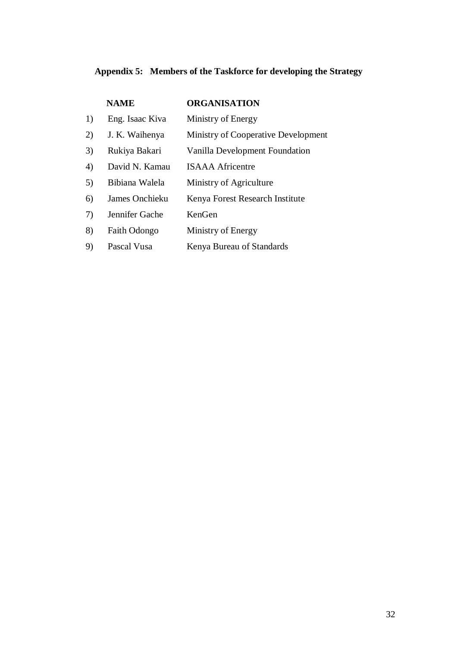## <span id="page-41-0"></span>**Appendix 5: Members of the Taskforce for developing the Strategy**

|    | <b>NAME</b>         | <b>ORGANISATION</b>                 |
|----|---------------------|-------------------------------------|
| 1) | Eng. Isaac Kiva     | Ministry of Energy                  |
| 2) | J. K. Waihenya      | Ministry of Cooperative Development |
| 3) | Rukiya Bakari       | Vanilla Development Foundation      |
| 4) | David N. Kamau      | <b>ISAAA</b> Africentre             |
| 5) | Bibiana Walela      | Ministry of Agriculture             |
| 6) | James Onchieku      | Kenya Forest Research Institute     |
| 7) | Jennifer Gache      | KenGen                              |
| 8) | <b>Faith Odongo</b> | Ministry of Energy                  |
| 9) | Pascal Vusa         | Kenya Bureau of Standards           |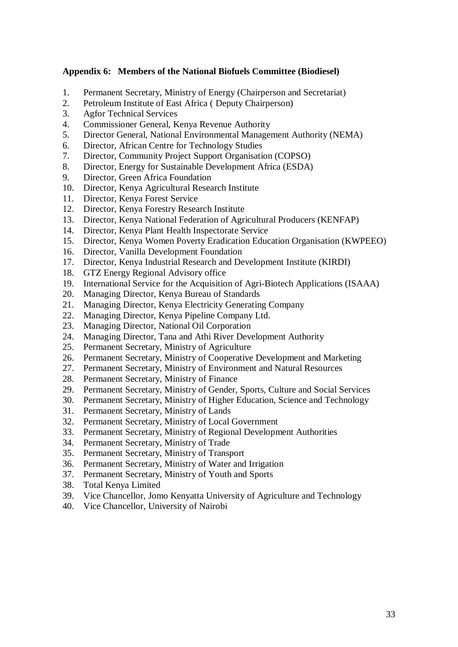#### <span id="page-42-0"></span>**Appendix 6: Members of the National Biofuels Committee (Biodiesel)**

- 1. Permanent Secretary, Ministry of Energy (Chairperson and Secretariat)
- 2. Petroleum Institute of East Africa ( Deputy Chairperson)
- 3. Agfor Technical Services
- 4. Commissioner General, Kenya Revenue Authority
- 5. Director General, National Environmental Management Authority (NEMA)
- 6. Director, African Centre for Technology Studies
- 7. Director, Community Project Support Organisation (COPSO)
- 8. Director, Energy for Sustainable Development Africa (ESDA)
- 9. Director, Green Africa Foundation
- 10. Director, Kenya Agricultural Research Institute
- 11. Director, Kenya Forest Service
- 12. Director, Kenya Forestry Research Institute
- 13. Director, Kenya National Federation of Agricultural Producers (KENFAP)
- 14. Director, Kenya Plant Health Inspectorate Service
- 15. Director, Kenya Women Poverty Eradication Education Organisation (KWPEEO)
- 16. Director, Vanilla Development Foundation
- 17. Director, Kenya Industrial Research and Development Institute (KIRDI)
- 18. GTZ Energy Regional Advisory office
- 19. International Service for the Acquisition of Agri-Biotech Applications (ISAAA)
- 20. Managing Director, Kenya Bureau of Standards
- 21. Managing Director, Kenya Electricity Generating Company
- 22. Managing Director, Kenya Pipeline Company Ltd.
- 23. Managing Director, National Oil Corporation
- 24. Managing Director, Tana and Athi River Development Authority
- 25. Permanent Secretary, Ministry of Agriculture
- 26. Permanent Secretary, Ministry of Cooperative Development and Marketing
- 27. Permanent Secretary, Ministry of Environment and Natural Resources
- 28. Permanent Secretary, Ministry of Finance
- 29. Permanent Secretary, Ministry of Gender, Sports, Culture and Social Services
- 30. Permanent Secretary, Ministry of Higher Education, Science and Technology
- 31. Permanent Secretary, Ministry of Lands
- 32. Permanent Secretary, Ministry of Local Government
- 33. Permanent Secretary, Ministry of Regional Development Authorities
- 34. Permanent Secretary, Ministry of Trade
- 35. Permanent Secretary, Ministry of Transport
- 36. Permanent Secretary, Ministry of Water and Irrigation
- 37. Permanent Secretary, Ministry of Youth and Sports
- 38. Total Kenya Limited
- 39. Vice Chancellor, Jomo Kenyatta University of Agriculture and Technology
- 40. Vice Chancellor, University of Nairobi